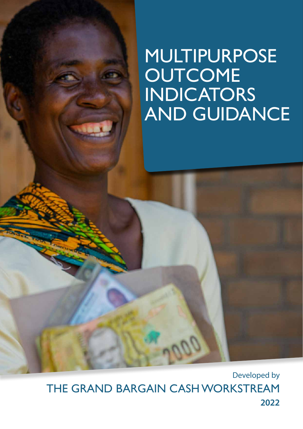# MULTIPURPOSE **OUTCOME** INDICATORS AND GUIDANCE

Developed by THE GRAND BARGAIN CASH WORKSTREAM **2022**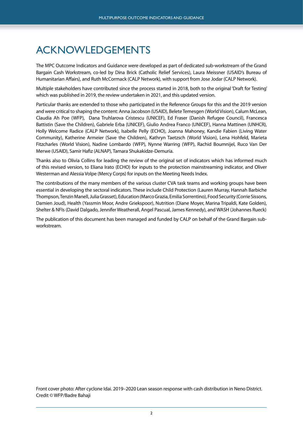## <span id="page-1-0"></span>ACKNOWLEDGEMENTS

The MPC Outcome Indicators and Guidance were developed as part of dedicated sub-workstream of the Grand Bargain Cash Workstream, co-led by Dina Brick (Catholic Relief Services), Laura Meissner (USAID's Bureau of Humanitarian Affairs), and Ruth McCormack (CALP Network), with support from Jose Jodar (CALP Network).

Multiple stakeholders have contributed since the process started in 2018, both to the original 'Draft for Testing' which was published in 2019, the review undertaken in 2021, and this updated version.

Particular thanks are extended to those who participated in the Reference Groups for this and the 2019 version and were critical to shaping the content: Anna Jacobson (USAID), Belete Temesgen (World Vision), Calum McLean, Claudia Ah Poe (WFP), Dana Truhlarova Cristescu (UNICEF), Ed Fraser (Danish Refugee Council), Francesca Battistin (Save the Children), Gabriele Erba (UNICEF), Giulio Andrea Franco (UNICEF), Hanna Mattinen (UNHCR), Holly Welcome Radice (CALP Network), Isabelle Pelly (ECHO), Joanna Mahoney, Kandie Fabien (Living Water Community), Katherine Armeier (Save the Children), Kathryn Taetzsch (World Vision), Lena Hohfeld, Marieta Fitzcharles (World Vision), Nadine Lombardo (WFP), Nynne Warring (WFP), Rachid Boumnijel, Ruco Van Der Merwe (USAID), Samir Hafiz (ALNAP), Tamara Shukakidze-Demuria.

Thanks also to Olivia Collins for leading the review of the original set of indicators which has informed much of this revised version, to Eliana Irato (ECHO) for inputs to the protection mainstreaming indicator, and Oliver Westerman and Alessia Volpe (Mercy Corps) for inputs on the Meeting Needs Index.

The contributions of the many members of the various cluster CVA task teams and working groups have been essential in developing the sectoral indicators. These include Child Protection (Lauren Murray, Hannah Barbiche Thompson, Tenzin Manell, Julia Grasset), Education (Marco Grazia, Emilia Sorrentino), Food Security (Corrie Sissons, Damien Joud), Health (Yassmin Moor, Andre Griekspoor), Nutrition (Diane Moyer, Marina Tripaldi, Kate Golden), Shelter & NFIs (David Dalgado, Jennifer Weatherall, Angel Pascual, James Kennedy), and WASH (Johannes Rueck)

The publication of this document has been managed and funded by CALP on behalf of the Grand Bargain subworkstream.

Front cover photo: After cyclone Idai. 2019–2020 Lean season response with cash distribution in Neno District. Credit © WFP/Badre Bahaji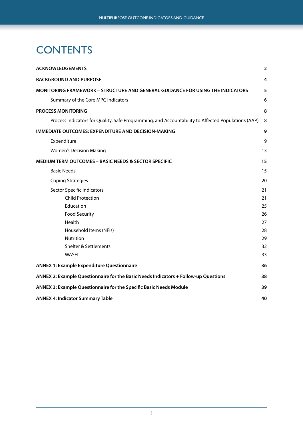## <span id="page-2-0"></span>**CONTENTS**

| <b>ACKNOWLEDGEMENTS</b>                                                                            | $\overline{2}$ |
|----------------------------------------------------------------------------------------------------|----------------|
| <b>BACKGROUND AND PURPOSE</b>                                                                      | 4              |
| <b>MONITORING FRAMEWORK - STRUCTURE AND GENERAL GUIDANCE FOR USING THE INDICATORS</b>              | 5              |
| Summary of the Core MPC Indicators                                                                 | 6              |
| <b>PROCESS MONITORING</b>                                                                          | 8              |
| Process Indicators for Quality, Safe Programming, and Accountability to Affected Populations (AAP) | 8              |
| <b>IMMEDIATE OUTCOMES: EXPENDITURE AND DECISION-MAKING</b>                                         | 9              |
| Expenditure                                                                                        | 9              |
| <b>Women's Decision Making</b>                                                                     | 13             |
| MEDIUM TERM OUTCOMES - BASIC NEEDS & SECTOR SPECIFIC                                               | 15             |
| <b>Basic Needs</b>                                                                                 | 15             |
| <b>Coping Strategies</b>                                                                           | 20             |
| Sector Specific Indicators                                                                         | 21             |
| <b>Child Protection</b>                                                                            | 21             |
| Education                                                                                          | 25             |
| <b>Food Security</b>                                                                               | 26             |
| Health                                                                                             | 27             |
| Household Items (NFIs)                                                                             | 28             |
| <b>Nutrition</b>                                                                                   | 29             |
| <b>Shelter &amp; Settlements</b>                                                                   | 32             |
| WASH                                                                                               | 33             |
| <b>ANNEX 1: Example Expenditure Questionnaire</b>                                                  | 36             |
| ANNEX 2: Example Questionnaire for the Basic Needs Indicators + Follow-up Questions                | 38             |
| ANNEX 3: Example Questionnaire for the Specific Basic Needs Module                                 | 39             |
| <b>ANNEX 4: Indicator Summary Table</b>                                                            | 40             |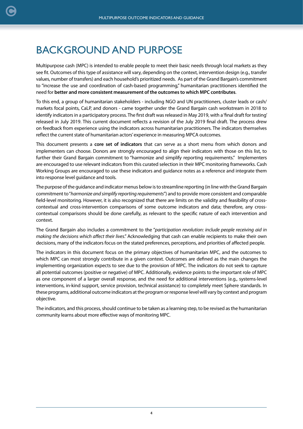## <span id="page-3-0"></span>BACKGROUND AND PURPOSE

Multipurpose cash (MPC) is intended to enable people to meet their basic needs through local markets as they see fit. Outcomes of this type of assistance will vary, depending on the context, intervention design (e.g., transfer values, number of transfers) and each household's prioritized needs. As part of the Grand Bargain's commitment to "increase the use and coordination of cash-based programming," humanitarian practitioners identified the need for **better and more consistent measurement of the outcomes to which MPC contributes**.

To this end, a group of humanitarian stakeholders - including NGO and UN practitioners, cluster leads or cash/ markets focal points, CaLP, and donors - came together under the Grand Bargain cash workstream in 2018 to identify indicators in a participatory process. The first draft was released in May 2019, with a 'final draft for testing' released in July 2019. This current document reflects a revision of the July 2019 final draft. The process drew on feedback from experience using the indicators across humanitarian practitioners. The indicators themselves reflect the current state of humanitarian actors' experience in measuring MPCA outcomes.

This document presents a **core set of indicators** that can serve as a short menu from which donors and implementers can choose. Donors are strongly encouraged to align their indicators with those on this list, to further their Grand Bargain commitment to "harmonize and simplify reporting requirements." Implementers are encouraged to use relevant indicators from this curated selection in their MPC monitoring frameworks. Cash Working Groups are encouraged to use these indicators and guidance notes as a reference and integrate them into response level guidance and tools.

The purpose of the guidance and indicator menus below is to streamline reporting (in line with the Grand Bargain commitment to "*harmonize and simplify reporting requirements*") and to provide more consistent and comparable field-level monitoring. However, it is also recognized that there are limits on the validity and feasibility of crosscontextual and cross-intervention comparisons of some outcome indicators and data; therefore, any crosscontextual comparisons should be done carefully, as relevant to the specific nature of each intervention and context.

The Grand Bargain also includes a commitment to the "*participation revolution: include people receiving aid in making the decisions which affect their lives*." Acknowledging that cash can enable recipients to make their own decisions, many of the indicators focus on the stated preferences, perceptions, and priorities of affected people.

The indicators in this document focus on the primary objectives of humanitarian MPC, and the outcomes to which MPC can most strongly contribute in a given context. Outcomes are defined as the main changes the implementing organization expects to see due to the provision of MPC. The indicators do not seek to capture all potential outcomes (positive or negative) of MPC. Additionally, evidence points to the important role of MPC as one component of a larger overall response, and the need for additional interventions (e.g., systems-level interventions, in-kind support, service provision, technical assistance) to completely meet Sphere standards. In these programs, additional outcome indicators at the program or response level will vary by context and program objective.

The indicators, and this process, should continue to be taken as a learning step, to be revised as the humanitarian community learns about more effective ways of monitoring MPC.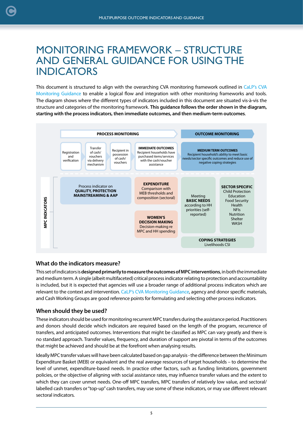## <span id="page-4-0"></span>MONITORING FRAMEWORK – STRUCTURE AND GENERAL GUIDANCE FOR USING THE INDICATORS

This document is structured to align with the overarching CVA monitoring framework outlined in [CaLP's CVA](https://www.calpnetwork.org/themes/monitoring-and-evaluation/) [Monitoring Guidance](https://www.calpnetwork.org/themes/monitoring-and-evaluation/) to enable a logical flow and integration with other monitoring frameworks and tools. The diagram shows where the different types of indicators included in this document are situated vis-à-vis the structure and categories of the monitoring framework. **This guidance follows the order shown in the diagram, starting with the process indicators, then immediate outcomes, and then medium-term outcomes**.



#### **What do the indicators measure?**

This set of indicators is **designed primarily to measure the outcomes of MPC interventions**, in both the immediate and medium term. A single (albeit multifaceted) critical process indicator relating to protection and accountability is included, but it is expected that agencies will use a broader range of additional process indicators which are relevant to the context and intervention. [CaLP's CVA Monitoring Guidance,](https://www.calpnetwork.org/themes/monitoring-and-evaluation/) agency and donor specific materials, and Cash Working Groups are good reference points for formulating and selecting other process indicators.

#### **When should they be used?**

These indicators should be used for monitoring recurrent MPC transfers during the assistance period. Practitioners and donors should decide which indicators are required based on the length of the program, recurrence of transfers, and anticipated outcomes. Interventions that might be classified as MPC can vary greatly and there is no standard approach. Transfer values, frequency, and duration of support are pivotal in terms of the outcomes that might be achieved and should be at the forefront when analysing results.

Ideally MPC transfer values will have been calculated based on gap analysis - the difference between the Minimum Expenditure Basket (MEB) or equivalent and the real average resources of target households – to determine the level of unmet, expenditure-based needs. In practice other factors, such as funding limitations, government policies, or the objective of aligning with social assistance rates, may influence transfer values and the extent to which they can cover unmet needs. One-off MPC transfers, MPC transfers of relatively low value, and sectoral/ labelled cash transfers or "top-up" cash transfers, may use some of these indicators, or may use different relevant sectoral indicators.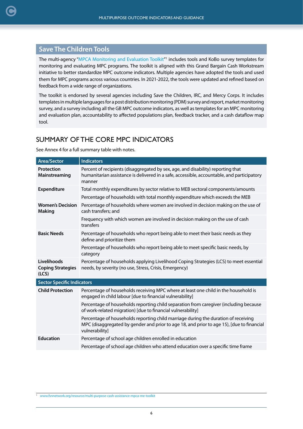## <span id="page-5-0"></span>**Save The Children Tools**

The multi-agency ["MPCA Monitoring and Evaluation Toolkit](https://www.fsnnetwork.org/resource/multi-purpose-cash-assistance-mpca-me-toolkit
)"<sup>1</sup> includes tools and KoBo survey templates for monitoring and evaluating MPC programs. The toolkit is aligned with this Grand Bargain Cash Workstream initiative to better standardize MPC outcome indicators. Multiple agencies have adopted the tools and used them for MPC programs across various countries. In 2021-2022, the tools were updated and refined based on feedback from a wide range of organizations.

The toolkit is endorsed by several agencies including Save the Children, IRC, and Mercy Corps. It includes templates in multiple languages for a post distribution monitoring (PDM) survey and report, market monitoring survey, and a survey including all the GB MPC outcome indicators, as well as templates for an MPC monitoring and evaluation plan, accountability to affected populations plan, feedback tracker, and a cash dataflow map tool.

## SUMMARY OF THE CORE MPC INDICATORS

See Annex 4 for a full summary table with notes.

| <b>Area/Sector</b>                               | <b>Indicators</b>                                                                                                                                                                                 |  |  |
|--------------------------------------------------|---------------------------------------------------------------------------------------------------------------------------------------------------------------------------------------------------|--|--|
| Protection<br>Mainstreaming                      | Percent of recipients (disaggregated by sex, age, and disability) reporting that<br>humanitarian assistance is delivered in a safe, accessible, accountable, and participatory<br>manner          |  |  |
| <b>Expenditure</b>                               | Total monthly expenditures by sector relative to MEB sectoral components/amounts                                                                                                                  |  |  |
|                                                  | Percentage of households with total monthly expenditure which exceeds the MEB                                                                                                                     |  |  |
| <b>Women's Decision</b><br><b>Making</b>         | Percentage of households where women are involved in decision making on the use of<br>cash transfers; and                                                                                         |  |  |
|                                                  | Frequency with which women are involved in decision making on the use of cash<br>transfers                                                                                                        |  |  |
| <b>Basic Needs</b>                               | Percentage of households who report being able to meet their basic needs as they<br>define and prioritize them                                                                                    |  |  |
|                                                  | Percentage of households who report being able to meet specific basic needs, by<br>category                                                                                                       |  |  |
| Livelihoods<br><b>Coping Strategies</b><br>(ICS) | Percentage of households applying Livelihood Coping Strategies (LCS) to meet essential<br>needs, by severity (no use, Stress, Crisis, Emergency)                                                  |  |  |
| <b>Sector Specific Indicators</b>                |                                                                                                                                                                                                   |  |  |
| <b>Child Protection</b>                          | Percentage of households receiving MPC where at least one child in the household is<br>engaged in child labour [due to financial vulnerability]                                                   |  |  |
|                                                  | Percentage of households reporting child separation from caregiver (including because<br>of work-related migration) [due to financial vulnerability]                                              |  |  |
|                                                  | Percentage of households reporting child marriage during the duration of receiving<br>MPC (disaggregated by gender and prior to age 18, and prior to age 15), [due to financial<br>vulnerability] |  |  |
| <b>Education</b>                                 | Percentage of school age children enrolled in education                                                                                                                                           |  |  |
|                                                  | Percentage of school age children who attend education over a specific time frame                                                                                                                 |  |  |

<sup>1</sup> [www.fsnnetwork.org/resource/multi-purpose-cash-assistance-mpca-me-toolkit](http://www.fsnnetwork.org/resource/multi-purpose-cash-assistance-mpca-me-toolkit)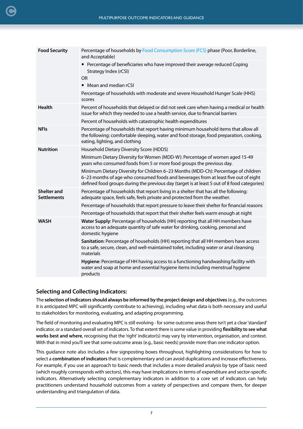| <b>Food Security</b>                     | Percentage of households by Food Consumption Score (FCS) phase (Poor, Borderline,<br>and Acceptable)                                                                                                                                                                      |  |  |
|------------------------------------------|---------------------------------------------------------------------------------------------------------------------------------------------------------------------------------------------------------------------------------------------------------------------------|--|--|
|                                          | • Percentage of beneficiaries who have improved their average reduced Coping<br>Strategy Index (rCSI)<br><b>OR</b><br>• Mean and median rCSI                                                                                                                              |  |  |
|                                          | Percentage of households with moderate and severe Household Hunger Scale (HHS)<br>scores                                                                                                                                                                                  |  |  |
| <b>Health</b>                            | Percent of households that delayed or did not seek care when having a medical or health<br>issue for which they needed to use a health service, due to financial barriers                                                                                                 |  |  |
|                                          | Percent of households with catastrophic health expenditures                                                                                                                                                                                                               |  |  |
| <b>NFIs</b>                              | Percentage of households that report having minimum household items that allow all<br>the following: comfortable sleeping, water and food storage, food preparation, cooking,<br>eating, lighting, and clothing                                                           |  |  |
| <b>Nutrition</b>                         | Household Dietary Diversity Score (HDDS)                                                                                                                                                                                                                                  |  |  |
|                                          | Minimum Dietary Diversity for Women (MDD-W): Percentage of women aged 15-49<br>years who consumed foods from 5 or more food groups the previous day.                                                                                                                      |  |  |
|                                          | Minimum Dietary Diversity for Children 6-23 Months (MDD-Ch): Percentage of children<br>6-23 months of age who consumed foods and beverages from at least five out of eight<br>defined food groups during the previous day (target is at least 5 out of 8 food categories) |  |  |
| <b>Shelter and</b><br><b>Settlements</b> | Percentage of households that report living in a shelter that has all the following:<br>adequate space, feels safe, feels private and protected from the weather.                                                                                                         |  |  |
|                                          | Percentage of households that report pressure to leave their shelter for financial reasons                                                                                                                                                                                |  |  |
|                                          | Percentage of households that report that their shelter feels warm enough at night                                                                                                                                                                                        |  |  |
| <b>WASH</b>                              | Water Supply: Percentage of households (HH) reporting that all HH members have<br>access to an adequate quantity of safe water for drinking, cooking, personal and<br>domestic hygiene                                                                                    |  |  |
|                                          | Sanitation: Percentage of households (HH) reporting that all HH members have access<br>to a safe, secure, clean, and well-maintained toilet, including water or anal cleansing<br>materials                                                                               |  |  |
|                                          | Hygiene: Percentage of HH having access to a functioning handwashing facility with<br>water and soap at home and essential hygiene items including menstrual hygiene<br>products                                                                                          |  |  |
|                                          |                                                                                                                                                                                                                                                                           |  |  |

#### **Selecting and Collecting Indicators:**

The **selection of indicators should always be informed by the project design and objectives** (e.g., the outcomes it is anticipated MPC will significantly contribute to achieving), including what data is both necessary and useful to stakeholders for monitoring, evaluating, and adapting programming.

The field of monitoring and evaluating MPC is still evolving - for some outcome areas there isn't yet a clear 'standard' indicator, or a standard overall set of indicators. To that extent there is some value in providing **flexibility to see what works best and where**, recognising that the 'right' indicator(s) may vary by intervention, organisation, and context. With that in mind you'll see that some outcome areas (e.g., basic needs) provide more than one indicator option.

This guidance note also includes a few signposting boxes throughout, highlighting considerations for how to select a **combination of indicators** that is complementary and can avoid duplications and increase effectiveness. For example, if you use an approach to basic needs that includes a more detailed analysis by type of basic need (which roughly corresponds with sectors), this may have implications in terms of expenditure and sector-specific indicators. Alternatively selecting complementary indicators in addition to a core set of indicators can help practitioners understand household outcomes from a variety of perspectives and compare them, for deeper understanding and triangulation of data.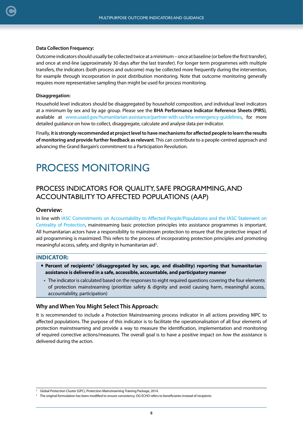#### <span id="page-7-0"></span>**Data Collection Frequency:**

Outcome indicators should usually be collected twice at a minimum – once at baseline (or before the first transfer), and once at end-line (approximately 30 days after the last transfer). For longer term programmes with multiple transfers, the indicators (both process and outcome) may be collected more frequently during the intervention, for example through incorporation in post distribution monitoring. Note that outcome monitoring generally requires more representative sampling than might be used for process monitoring.

#### **Disaggregation:**

Household level indicators should be disaggregated by household composition, and individual level indicators at a minimum by sex and by age group. Please see the **BHA Performance Indicator Reference Sheets (PIRS)**, available at [www.usaid.gov/humanitarian-assistance/partner-with-us/bha-emergency-guidelines](https://www.usaid.gov/humanitarian-assistance/partner-with-us/bha-emergency-guidelines), for more detailed guidance on how to collect, disaggregate, calculate and analyse data per indicator.

Finally, **it is strongly recommended at project level to have mechanisms for affected people to learn the results of monitoring and provide further feedback as relevant**. This can contribute to a people-centred approach and advancing the Grand Bargain's commitment to a Participation Revolution.

## PROCESS MONITORING

## PROCESS INDICATORS FOR QUALITY, SAFE PROGRAMMING, AND ACCOUNTABILITY TO AFFECTED POPULATIONS (AAP)

#### **Overview:**

In line with [IASC Commitments on Accountability to Affected People/Populations](https://interagencystandingcommittee.org/iasc-task-team-on-accountability-to-affected-populations-and-protection-from-sexual-exploitation-and-abuse-aap-psea) and the [IASC Statement on](https://www.refworld.org/pdfid/52d7915e4.pdf) [Centrality of Protection,](https://www.refworld.org/pdfid/52d7915e4.pdf) mainstreaming basic protection principles into assistance programmes is important. All humanitarian actors have a responsibility to mainstream protection to ensure that the protective impact of aid programming is maximized. This refers to the process of incorporating protection principles and promoting meaningful access, safety, and dignity in humanitarian aid<sup>2</sup>.

#### **INDICATOR:**

- **•** Percent of recipients<sup>3</sup> (disaggregated by sex, age, and disability) reporting that humanitarian **assistance is delivered in a safe, accessible, accountable, and participatory manner**
- The indicator is calculated based on the responses to eight required questions covering the four elements of protection mainstreaming (prioritize safety & dignity and avoid causing harm, meaningful access, accountability, participation)

#### **Why and When You Might Select This Approach:**

It is recommended to include a Protection Mainstreaming process indicator in all actions providing MPC to affected populations. The purpose of this indicator is to facilitate the operationalisation of all four elements of protection mainstreaming and provide a way to measure the identification, implementation and monitoring of required corrective actions/measures. The overall goal is to have a positive impact on *how* the assistance is delivered during the action.

<sup>&</sup>lt;sup>2</sup> Global Protection Cluster (GPC), Protection Mainstreaming Training Package, 2014.

<sup>&</sup>lt;sup>3</sup> The original formulation has been modified to ensure consistency. DG ECHO refers to beneficiaries instead of recipients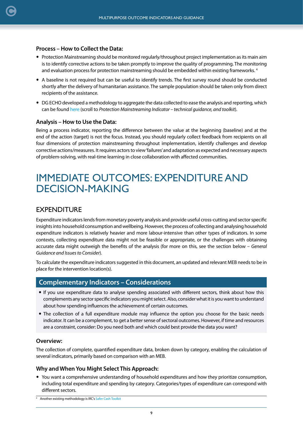#### <span id="page-8-0"></span>**Process – How to Collect the Data:**

- Protection Mainstreaming should be monitored regularly/throughout project implementation as its main aim is to identify corrective actions to be taken promptly to improve the quality of programming. The monitoring and evaluation process for protection mainstreaming should be embedded within existing frameworks.<sup>4</sup>
- A baseline is not required but can be useful to identify trends. The first survey round should be conducted shortly after the delivery of humanitarian assistance. The sample population should be taken only from direct recipients of the assistance.
- DG ECHO developed a methodology to aggregate the data collected to ease the analysis and reporting, which can be found [here](https://ec.europa.eu/echo/resources-campaigns/policy-guidelines_en) (scroll to *Protection Mainstreaming Indicator – technical guidance, and toolkit*).

#### **Analysis – How to Use the Data:**

Being a process indicator, reporting the difference between the value at the beginning (baseline) and at the end of the action (target) is not the focus. Instead, you should regularly collect feedback from recipients on all four dimensions of protection mainstreaming throughout implementation, identify challenges and develop corrective actions/measures. It requires actors to view 'failures' and adaptation as expected and necessary aspects of problem-solving, with real-time learning in close collaboration with affected communities.

## IMMEDIATE OUTCOMES: EXPENDITURE AND DECISION-MAKING

### EXPENDITURE

Expenditure indicators lends from monetary poverty analysis and provide useful cross-cutting and sector specific insights into household consumption and wellbeing. However, the process of collecting and analysing household expenditure indicators is relatively heavier and more labour-intensive than other types of indicators. In some contexts, collecting expenditure data might not be feasible or appropriate, or the challenges with obtaining accurate data might outweigh the benefits of the analysis (for more on this, see the section below – *General Guidance and Issues to Consider*).

To calculate the expenditure indicators suggested in this document, an updated and relevant MEB needs to be in place for the intervention location(s).

### **Complementary Indicators – Considerations**

- If you use expenditure data to analyse spending associated with different sectors, think about how this complements any sector specific indicators you might select. Also, consider what it is you want to understand about how spending influences the achievement of certain outcomes.
- The collection of a full expenditure module may influence the option you choose for the basic needs indicator. It can be a complement, to get a better sense of sectoral outcomes. However, if time and resources are a constraint, consider: Do you need both and which could best provide the data you want?

#### **Overview:**

The collection of complete, quantified expenditure data, broken down by category, enabling the calculation of several indicators, primarily based on comparison with an MEB.

#### **Why and When You Might Select This Approach:**

 You want a comprehensive understanding of household expenditures and how they prioritize consumption, including total expenditure and spending by category. Categories/types of expenditure can correspond with different sectors.

<sup>4</sup> Another existing methodology is IRC's [Safer Cash Toolkit](https://www.calpnetwork.org/publication/safer-cash-toolkit-english/)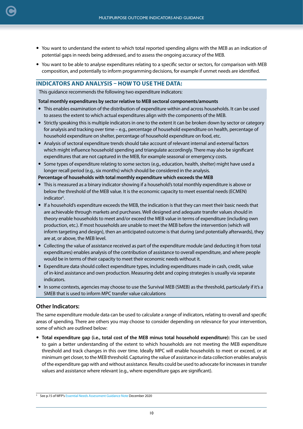- You want to understand the extent to which total reported spending aligns with the MEB as an indication of potential gaps in needs being addressed, and to assess the ongoing accuracy of the MEB.
- You want to be able to analyse expenditures relating to a specific sector or sectors, for comparison with MEB composition, and potentially to inform programming decisions, for example if unmet needs are identified.

#### **INDICATORS AND ANALYSIS – HOW TO USE THE DATA:**

This guidance recommends the following two expenditure indicators:

#### **Total monthly expenditures by sector relative to MEB sectoral components/amounts**

- This enables examination of the distribution of expenditure within and across households. It can be used to assess the extent to which actual expenditures align with the components of the MEB.
- Strictly speaking this is multiple indicators in one to the extent it can be broken down by sector or category for analysis and tracking over time – e.g., percentage of household expenditure on health, percentage of household expenditure on shelter, percentage of household expenditure on food, etc.
- Analysis of sectoral expenditure trends should take account of relevant internal and external factors which might influence household spending and triangulate accordingly. There may also be significant expenditures that are not captured in the MEB, for example seasonal or emergency costs.
- Some types of expenditure relating to some sectors (e.g., education, health, shelter) might have used a longer recall period (e.g., six months) which should be considered in the analysis.

#### **Percentage of households with total monthly expenditure which exceeds the MEB**

- This is measured as a binary indicator showing if a household's total monthly expenditure is above or below the threshold of the MEB value. It is the economic capacity to meet essential needs (ECMEN) indicator<sup>5</sup>.
- If a household's expenditure exceeds the MEB, the indication is that they can meet their basic needs that are achievable through markets and purchases. Well designed and adequate transfer values should in theory enable households to meet and/or exceed the MEB value in terms of expenditure (including own production, etc.). If most households are unable to meet the MEB before the intervention (which will inform targeting and design), then an anticipated outcome is that during (and potentially afterwards), they are at, or above, the MEB level.
- Collecting the value of assistance received as part of the expenditure module (and deducting it from total expenditures) enables analysis of the contribution of assistance to overall expenditure, and where people would be in terms of their capacity to meet their economic needs without it.
- Expenditure data should collect expenditure types, including expenditures made in cash, credit, value of in-kind assistance and own production. Measuring debt and coping strategies is usually via separate indicators.
- In some contexts, agencies may choose to use the Survival MEB (SMEB) as the threshold, particularly if it's a SMEB that is used to inform MPC transfer value calculations

#### **Other Indicators:**

[C](#page-2-0)

The same expenditure module data can be used to calculate a range of indicators, relating to overall and specific areas of spending. There are others you may choose to consider depending on relevance for your intervention, some of which are outlined below:

 **Total expenditure gap (i.e., total cost of the MEB minus total household expenditure):** This can be used to gain a better understanding of the extent to which households are not meeting the MEB expenditure threshold and track changes in this over time. Ideally MPC will enable households to meet or exceed, or at minimum get closer, to the MEB threshold. Capturing the value of assistance in data collection enables analysis of the expenditure gap with and without assistance. Results could be used to advocate for increases in transfer values and assistance where relevant (e.g., where expenditure gaps are significant).

<sup>5</sup> See p.15 of WFP's [Essential Needs Assessment Guidance Note](https://docs.wfp.org/api/documents/WFP-0000074197/download/?_ga=2.162763768.599709074.1629986064-12876208.1617832239) December 2020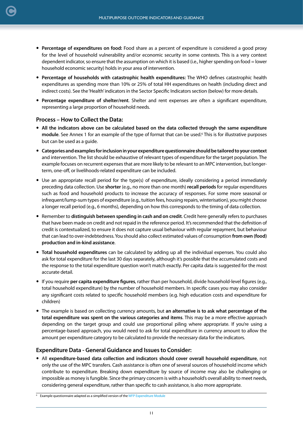- **Percentage of expenditures on food:** Food share as a percent of expenditure is considered a good proxy for the level of household vulnerability and/or economic security in some contexts. This is a very context dependent indicator, so ensure that the assumption on which it is based (i.e., higher spending on food = lower household economic security) holds in your area of intervention.
- **Percentage of households with catastrophic health expenditures:** The WHO defines catastrophic health expenditures as spending more than 10% or 25% of total HH expenditures on health (including direct and indirect costs). See the 'Health' indicators in the Sector Specific Indicators section (below) for more details.
- **Percentage expenditure of shelter/rent**. Shelter and rent expenses are often a significant expenditure, representing a large proportion of household needs.

#### **Process – How to Collect the Data:**

[C](#page-2-0)

- **All the indicators above can be calculated based on the data collected through the same expenditure module**. See Annex 1 for an example of the type of format that can be used.6 This is for illustrative purposes but can be used as a guide.
- **Categories and examples for inclusion in your expenditure questionnaire should be tailored to your context** and intervention. The list should be exhaustive of relevant types of expenditure for the target population. The example focuses on recurrent expenses that are more likely to be relevant to an MPC intervention, but longerterm, one-off, or livelihoods-related expenditure can be included.
- Use an appropriate recall period for the type(s) of expenditure, ideally considering a period immediately preceding data collection. Use **shorter** (e.g., no more than one month) **recall periods** for regular expenditures such as food and household products to increase the accuracy of responses. For some more seasonal or infrequent/lump-sum types of expenditure (e.g., tuition fees, housing repairs, winterisation), you might choose a longer recall period (e.g., 6 months), depending on how this corresponds to the timing of data collection.
- Remember to **distinguish between spending in cash and on credit**. Credit here generally refers to purchases that have been made on credit and not repaid in the reference period. It's recommended that the definition of credit is contextualized, to ensure it does not capture usual behaviour with regular repayment, but behaviour that can lead to over-indebtedness. You should also collect estimated values of consumption **from own (food) production and in-kind assistance**.
- **Total household expenditures** can be calculated by adding up all the individual expenses. You could also ask for total expenditure for the last 30 days separately, although it's possible that the accumulated costs and the response to the total expenditure question won't match exactly. Per capita data is suggested for the most accurate detail.
- If you require **per capita expenditure figures**, rather than per household, divide household-level figures (e.g., total household expenditure) by the number of household members. In specific cases you may also consider any significant costs related to specific household members (e.g. high education costs and expenditure for children)
- The example is based on collecting currency amounts, but **an alternative is to ask what percentage of the total expenditure was spent on the various categories and items**. This may be a more effective approach depending on the target group and could use proportional piling where appropriate. If you're using a percentage-based approach, you would need to ask for total expenditure in currency amount to allow the amount per expenditure category to be calculated to provide the necessary data for the indicators.

#### **Expenditure Data - General Guidance and Issues to Consider:**

 All **expenditure-based data collection and indicators should cover overall household expenditure**, not only the use of the MPC transfers. Cash assistance is often one of several sources of household income which contribute to expenditure. Breaking down expenditure by source of income may also be challenging or impossible as money is fungible. Since the primary concern is with a household's overall ability to meet needs, considering general expenditure, rather than specific to cash assistance, is also more appropriate.

<sup>&</sup>lt;sup>6</sup> Example questionnaire adapted as a simplified version of the [WFP Expenditure Module](https://resources.vam.wfp.org/TagView?tag=Questionnaires)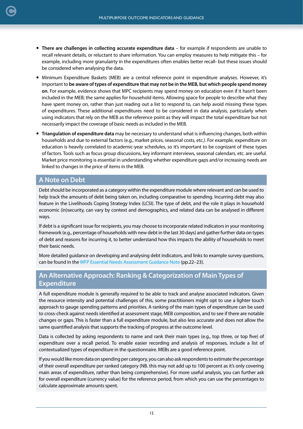- **There are challenges in collecting accurate expenditure data** for example if respondents are unable to recall relevant details, or reluctant to share information. You can employ measures to help mitigate this – for example, including more granulairty in the expenditures often enables better recall- but these issues should be considered when analysing the data.
- Minimum Expenditure Baskets (MEB) are a central reference point in expenditure analyses. However, it's important to **be aware of types of expenditure that may not be in the MEB, but which people spend money on**. For example, evidence shows that MPC recipients may spend money on education even if it hasn't been included in the MEB; the same applies for household items. Allowing space for people to describe what they have spent money on, rather than just reading out a list to respond to, can help avoid missing these types of expenditures. These additional expenditures need to be considered in data analysis, particularly when using indicators that rely on the MEB as the reference point as they will impact the total expenditure but not necessarily impact the coverage of basic needs as included in the MEB.
- **Triangulation of expenditure data** may be necessary to understand what is influencing changes, both within households and due to external factors (e.g., market prices, seasonal costs, etc.). For example, expenditure on education is heavily correlated to academic-year schedules, so it's important to be cognizant of these types of factors. Tools such as focus group discussions, key informant interviews, seasonal calendars, etc. are useful. Market price monitoring is essential in understanding whether expenditure gaps and/or increasing needs are linked to changes in the price of items in the MEB.

### **A Note on Debt**

Debt should be incorporated as a category within the expenditure module where relevant and can be used to help track the amounts of debt being taken on, including comparative to spending. Incurring debt may also feature in the Livelihoods Coping Strategy Index (LCSI). The type of debt, and the role it plays in household economic (in)security, can vary by context and demographics, and related data can be analysed in different ways.

If debt is a significant issue for recipients, you may choose to incorporate related indicators in your monitoring framework (e.g., percentage of households with new debt in the last 30 days) and gather further data on types of debt and reasons for incurring it, to better understand how this impacts the ability of households to meet their basic needs.

More detailed guidance on developing and analysing debt indicators, and links to example survey questions, can be found in the [WFP Essential Needs Assessment Guidance Note](https://docs.wfp.org/api/documents/WFP-0000074197/download/?_ga=2.162763768.599709074.1629986064-12876208.1617832239) (pp.22–23).

## **An Alternative Approach: Ranking & Categorization of Main Types of Expenditure**

A full expenditure module is generally required to be able to track and analyse associated indicators. Given the resource intensity and potential challenges of this, some practitioners might opt to use a lighter touch approach to gauge spending patterns and priorities. A ranking of the main types of expenditure can be used to cross-check against needs identified at assessment stage, MEB composition, and to see if there are notable changes or gaps. This is faster than a full expenditure module, but also less accurate and does not allow the same quantified analysis that supports the tracking of progress at the outcome level.

Data is collected by asking respondents to name and rank their main types (e.g., top three, or top five) of expenditure over a recall period. To enable easier recording and analysis of responses, include a list of contextualized types of expenditure in the questionnaire. MEBs are a good reference point.

If you would like more data on spending per category, you can also ask respondents to estimate the percentage of their overall expenditure per ranked category (NB. this may not add up to 100 percent as it's only covering main areas of expenditure, rather than being comprehensive). For more useful analysis, you can further ask for overall expenditure (currency value) for the reference period, from which you can use the percentages to calculate approximate amounts spent.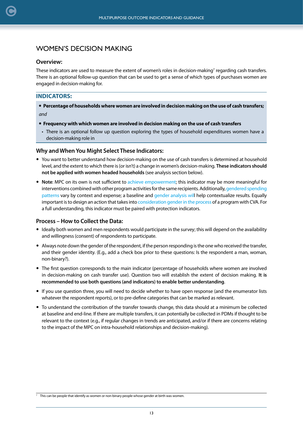## <span id="page-12-0"></span>WOMEN'S DECISION MAKING

### **Overview:**

These indicators are used to measure the extent of women's roles in decision-making<sup>7</sup> regarding cash transfers. There is an optional follow-up question that can be used to get a sense of which types of purchases women are engaged in decision-making for.

## **INDICATORS:**

 **Percentage of households where women are involved in decision making on the use of cash transfers;** *and*

### **Frequency with which women are involved in decision making on the use of cash transfers**

• There is an optional follow up question exploring the types of household expenditures women have a decision-making role in

### **Why and When You Might Select These Indicators:**

- You want to better understand how decision-making on the use of cash transfers is determined at household level, and the extent to which there is (or isn't) a change in women's decision-making. **These indicators should not be applied with women headed households** (see analysis section below).
- **Note**: MPC on its own is not sufficient t[o achieve empowerment;](https://docs.wfp.org/api/documents/WFP-0000102949/download/) this indicator may be more meaningful for interventions combined with other program activities for the same recipients. Additionally[, gendered spending](https://www.calpnetwork.org/publication/setting-the-stage-what-we-know-and-dont-know-about-the-effects-of-cash-based-interventions-on-gender-outcomes-in-humanitarian-settings/) [patterns](https://www.calpnetwork.org/publication/setting-the-stage-what-we-know-and-dont-know-about-the-effects-of-cash-based-interventions-on-gender-outcomes-in-humanitarian-settings/) vary by context and expense; a baseline and [gender analysis wil](https://insights.careinternational.org.uk/in-practice/rapid-gender-analysis)l help contextualize results. Equally important is to design an action that takes int[o consideration gender in the process](https://www.calpnetwork.org/wp-content/uploads/ninja-forms/2/CARE-Gender-sensitive-CVA-guidelines.pdf) of a program with CVA. For a full understanding, this indicator must be paired with protection indicators.

### **Process – How to Collect the Data:**

- Ideally both women and men respondents would participate in the survey; this will depend on the availability and willingness (consent) of respondents to participate.
- Always note down the gender of the respondent, if the person responding is the one who received the transfer, and their gender identity. (E.g., add a check box prior to these questions: Is the respondent a man, woman, non-binary?).
- The first question corresponds to the main indicator (percentage of households where women are involved in decision-making on cash transfer use). Question two will establish the extent of decision making. **It is recommended to use both questions (and indicators) to enable better understanding**.
- If you use question three, you will need to decide whether to have open response (and the enumerator lists whatever the respondent reports), or to pre-define categories that can be marked as relevant.
- To understand the contribution of the transfer towards change, this data should at a minimum be collected at baseline and end-line. If there are multiple transfers, it can potentially be collected in PDMs if thought to be relevant to the context (e.g., if regular changes in trends are anticipated, and/or if there are concerns relating to the impact of the MPC on intra-household relationships and decision-making).

 $<sup>7</sup>$  This can be people that identify as women or non-binary people whose gender at birth was women.</sup>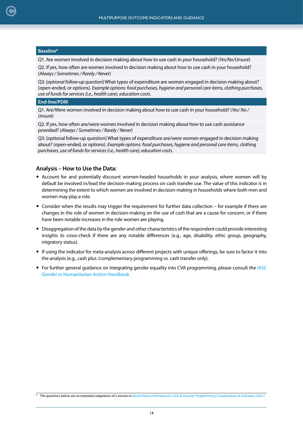#### **Baseline8**

[C](#page-2-0)

Q1. Are women involved in decision making about how to use cash in your household? (*Yes/No/Unsure*)

Q2. If yes, how often are women involved in decision making about how to use cash in your household? (*Always / Sometimes / Rarely / Never*)

Q3: [*optional follow-up question*] What types of expenditure are women engaged in decision making about? (open-ended, or options). *Example options: food purchases, hygiene and personal care items, clothing purchases, use of funds for services (i.e., health care), education costs*.

#### **End-line/PDM**

Q1. Are/Were women involved in decision making about how to use cash in your household? (*Yes/ No / Unsure*)

Q2. If yes, how often are/were women involved in decision making about how to use cash assistance provided? (*Always / Sometimes / Rarely / Never*)

Q3: [optional follow-up question] What types of expenditure are/were women engaged in decision making about? (open-ended, or options). *Example options: food purchases, hygiene and personal care items, clothing purchases, use of funds for services (i.e., health care), education costs*.

#### **Analysis – How to Use the Data:**

- Account for and potentially discount women-headed households in your analysis, where women will by default be involved in/lead the decision-making process on cash transfer use. The value of this indicator is in determining the extent to which women are involved in decision-making in households where both men and women may play a role.
- Consider when the results may trigger the requirement for further data collection for example if there are changes in the role of women in decision-making on the use of cash that are a cause for concern, or if there have been notable increases in the role women are playing.
- Disaggregation of the data by the gender and other characteristics of the respondent could provide interesting insights to cross-check if there are any notable differences (e.g., age, disability, ethic group, geography, migratory status).
- If using the indicator for meta-analysis across different projects with unique offerings, be sure to factor it into the analysis (e.g., cash plus /complementary programming vs. cash transfer only).
- For further general guidance on integrating gender equality into CVA programming, please consult the IASC Gender in Humanitarian Action Handbook

<sup>&</sup>lt;sup>8</sup> The questions below are an extended adaptation of a version in [World Vision International's Cash & Voucher Programming Compendium of Indicators \(2021\)](https://www.wvi.org/sites/default/files/2021-10/WVI%20Cash%20and%20Voucher%20Programming%20Indicator%20Compendium%20September%202021.pdf)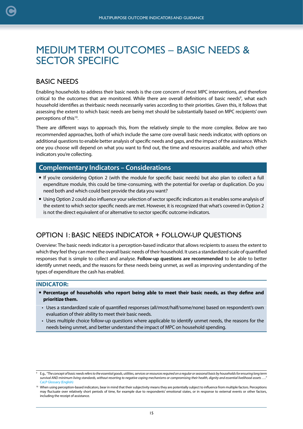## <span id="page-14-0"></span>MEDIUM TERM OUTCOMES – BASIC NEEDS & SECTOR SPECIFIC

## BASIC NEEDS

Enabling households to address their basic needs is the core concern of most MPC interventions, and therefore critical to the outcomes that are monitored. While there are overall definitions of basic needs<sup>9</sup>, what each household identifies as theirbasic needs necessarily varies according to their priorities. Given this, it follows that assessing the extent to which basic needs are being met should be substantially based on MPC recipients' own perceptions of this<sup>10</sup>.

There are different ways to approach this, from the relatively simple to the more complex. Below are two recommended approaches, both of which include the same core overall basic needs indicator, with options on additional questions to enable better analysis of specific needs and gaps, and the impact of the assistance. Which one you choose will depend on what you want to find out, the time and resources available, and which other indicators you're collecting.

### **Complementary Indicators – Considerations**

- If you're considering Option 2 (with the module for specific basic needs) but also plan to collect a full expenditure module, this could be time-consuming, with the potential for overlap or duplication. Do you need both and which could best provide the data you want?
- Using Option 2 could also influence your selection of sector specific indicators as it enables some analysis of the extent to which sector specific needs are met. However, it is recognized that what's covered in Option 2 is not the direct equivalent of or alternative to sector specific outcome indicators.

## OPTION 1: BASIC NEEDS INDICATOR + FOLLOW-UP QUESTIONS

Overview: The basic needs indicator is a perception-based indicator that allows recipients to assess the extent to which they feel they can meet the overall basic needs of their household. It uses a standardized scale of quantified responses that is simple to collect and analyse. **Follow-up questions are recommended** to be able to better identify unmet needs, and the reasons for these needs being unmet, as well as improving understanding of the types of expenditure the cash has enabled.

#### **INDICATOR:**

- **Percentage of households who report being able to meet their basic needs, as they define and prioritize them.**
- Uses a standardized scale of quantified responses (all/most/half/some/none) based on respondent's own evaluation of their ability to meet their basic needs.
- Uses multiple choice follow-up questions where applicable to identify unmet needs, the reasons for the needs being unmet, and better understand the impact of MPC on household spending.

<sup>9</sup> E.g., *"The concept of basic needs refers to the essential goods, utilities, services or resources required on a regular or seasonal basis by households for ensuring long term survival AND minimum living standards, without resorting to negative coping mechanisms or compromising their health, dignity and essential livelihood assets …."* [CaLP Glossary \(English\)](https://www.calpnetwork.org/resources/glossary-of-terms/)

<sup>&</sup>lt;sup>10</sup> When using perception-based indicators, bear in mind that their subjectivity means they are potentially subject to influence from multiple factors. Perceptions may fluctuate over relatively short periods of time, for example due to respondents' emotional states, or in response to external events or other factors, including the receipt of assistance.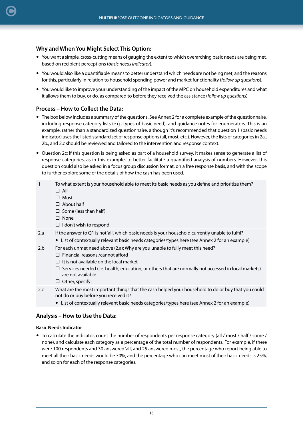#### **Why and When You Might Select This Option:**

- You want a simple, cross-cutting means of gauging the extent to which overarching basic needs are being met, based on recipient perceptions (*basic needs indicator*).
- You would also like a quantifiable means to better understand which needs are not being met, and the reasons for this, particularly in relation to household spending power and market functionality (*follow up questions*).
- You would like to improve your understanding of the impact of the MPC on household expenditures and what it allows them to buy, or do, as compared to before they received the assistance (*follow up questions*)

#### **Process – How to Collect the Data:**

- The box below includes a summary of the questions. See Annex 2 for a complete example of the questionnaire, including response category lists (e.g., types of basic need), and guidance notes for enumerators. This is an example, rather than a standardized questionnaire, although it's recommended that question 1 (basic needs indicator) uses the listed standard set of response options (all, most, etc.). However, the lists of categories in 2a., 2b., and 2.c should be reviewed and tailored to the intervention and response context.
- Question 2c: If this question is being asked as part of a household survey, it makes sense to generate a list of response categories, as in this example, to better facilitate a quantified analysis of numbers. However, this question could also be asked in a focus group discussion format, on a free response basis, and with the scope to further explore some of the details of how the cash has been used.
- 1 To what extent is your household able to meet its basic needs as you define and prioritize them?  $\Pi$  All
	- $\square$  Most
	- About half
	- $\square$  Some (less than half)
	- $\square$  None
	- $\Box$  I don't wish to respond
- 2.a If the answer to Q1 is not 'all', which basic needs is your household currently unable to fulfil?
	- List of contextually relevant basic needs categories/types here (see Annex 2 for an example)
- 2.b For each unmet need above (2.a): Why are you unable to fully meet this need?
	- Financial reasons /cannot afford
		- $\Box$  It is not available on the local market
		- $\square$  Services needed (I.e. health, education, or others that are normally not accessed in local markets) are not available
		- $\Box$  Other, specify:
- 2.c What are the most important things that the cash helped your household to do or buy that you could not do or buy before you received it?
	- List of contextually relevant basic needs categories/types here (see Annex 2 for an example)

#### **Analysis – How to Use the Data:**

#### **Basic Needs Indicator**

 To calculate the indicator, count the number of respondents per response category (all / most / half / some / none), and calculate each category as a percentage of the total number of respondents. For example, if there were 100 respondents and 30 answered 'all', and 25 answered most, the percentage who report being able to meet all their basic needs would be 30%, and the percentage who can meet most of their basic needs is 25%, and so on for each of the response categories.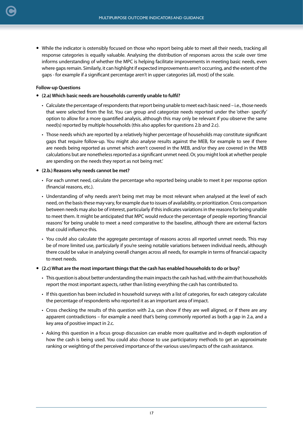While the indicator is ostensibly focused on those who report being able to meet all their needs, tracking all response categories is equally valuable. Analysing the distribution of responses across the scale over time informs understanding of whether the MPC is helping facilitate improvements in meeting basic needs, even where gaps remain. Similarly, it can highlight if expected improvements aren't occurring, and the extent of the gaps - for example if a significant percentage aren't in upper categories (all, most) of the scale.

#### **Follow-up Questions**

[C](#page-2-0)

- **(2.a) Which basic needs are households currently unable to fulfil?** 
	- Calculate the percentage of respondents that report being unable to meet each basic need i.e., those needs that were selected from the list. You can group and categorize needs reported under the 'other- specify' option to allow for a more quantified analysis, although this may only be relevant if you observe the same need(s) reported by multiple households (this also applies for questions 2.b and 2.c).
	- Those needs which are reported by a relatively higher percentage of households may constitute significant gaps that require follow-up. You might also analyse results against the MEB, for example to see if there are needs being reported as unmet which aren't covered in the MEB, and/or they are covered in the MEB calculations but are nonetheless reported as a significant unmet need. Or, you might look at whether people are spending on the needs they report as not being met.'
- **(2.b.) Reasons why needs cannot be met?**
	- For each unmet need, calculate the percentage who reported being unable to meet it per response option (financial reasons, etc.).
	- Understanding of why needs aren't being met may be most relevant when analysed at the level of each need, on the basis these may vary, for example due to issues of availability, or prioritization. Cross comparison between needs may also be of interest, particularly if this indicates variations in the reasons for being unable to meet them. It might be anticipated that MPC would reduce the percentage of people reporting 'financial reasons' for being unable to meet a need comparative to the baseline, although there are external factors that could influence this.
	- You could also calculate the aggregate percentage of reasons across all reported unmet needs. This may be of more limited use, particularly if you're seeing notable variations between individual needs, although there could be value in analysing overall changes across all needs, for example in terms of financial capacity to meet needs.
- **(2.c) What are the most important things that the cash has enabled households to do or buy?**
	- This question is about better understanding the main impacts the cash has had, with the aim that households report the most important aspects, rather than listing everything the cash has contributed to.
	- If this question has been included in household surveys with a list of categories, for each category calculate the percentage of respondents who reported it as an important area of impact.
	- Cross checking the results of this question with 2.a, can show if they are well aligned, or if there are any apparent contradictions – for example a need that's being commonly reported as both a gap in 2.a, and a key area of positive impact in 2.c.
	- Asking this question in a focus group discussion can enable more qualitative and in-depth exploration of how the cash is being used. You could also choose to use participatory methods to get an approximate ranking or weighting of the perceived importance of the various uses/impacts of the cash assistance.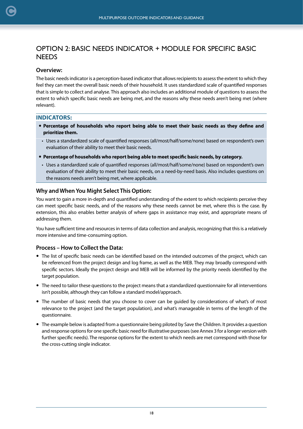## OPTION 2: BASIC NEEDS INDICATOR + MODULE FOR SPECIFIC BASIC **NEEDS**

#### **Overview:**

The basic needs indicator is a perception-based indicator that allows recipients to assess the extent to which they feel they can meet the overall basic needs of their household. It uses standardized scale of quantified responses that is simple to collect and analyse. This approach also includes an additional module of questions to assess the extent to which specific basic needs are being met, and the reasons why these needs aren't being met (where relevant).

#### **INDICATORS:**

- **Percentage of households who report being able to meet their basic needs as they define and prioritize them.**
- Uses a standardized scale of quantified responses (all/most/half/some/none) based on respondent's own evaluation of their ability to meet their basic needs.
- **Percentage of households who report being able to meet specific basic needs, by category.**
- Uses a standardized scale of quantified responses (all/most/half/some/none) based on respondent's own evaluation of their ability to meet their basic needs, on a need-by-need basis. Also includes questions on the reasons needs aren't being met, where applicable.

#### **Why and When You Might Select This Option:**

You want to gain a more in-depth and quantified understanding of the extent to which recipients perceive they can meet specific basic needs, and of the reasons why these needs cannot be met, where this is the case. By extension, this also enables better analysis of where gaps in assistance may exist, and appropriate means of addressing them.

You have sufficient time and resources in terms of data collection and analysis, recognizing that this is a relatively more intensive and time-consuming option.

#### **Process – How to Collect the Data:**

- The list of specific basic needs can be identified based on the intended outcomes of the project, which can be referenced from the project design and log frame, as well as the MEB. They may broadly correspond with specific sectors. Ideally the project design and MEB will be informed by the priority needs identified by the target population.
- The need to tailor these questions to the project means that a standardized questionnaire for all interventions isn't possible, although they can follow a standard model/approach.
- The number of basic needs that you choose to cover can be guided by considerations of what's of most relevance to the project (and the target population), and what's manageable in terms of the length of the questionnaire.
- The example below is adapted from a questionnaire being piloted by Save the Children. It provides a question and response options for one specific basic need for illustrative purposes (see Annex 3 for a longer version with further specific needs). The response options for the extent to which needs are met correspond with those for the cross-cutting single indicator.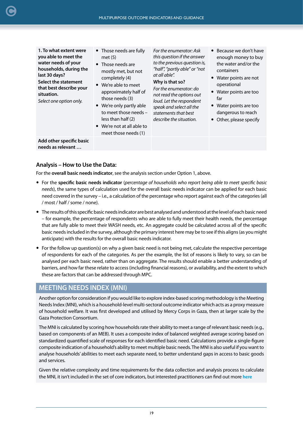**1. To what extent were you able to meet the water needs of your households, during the last 30 days? Select the statement that best describe your situation.**

*Select one option only.*

- Those needs are fully met (5)
- Those needs are mostly met, but not completely (4)
- We're able to meet approximately half of those needs (3)
- We're only partly able to meet those needs – less than half (2)
- We're not at all able to meet those needs (1)

*For the enumerator: Ask this question if the answer to the previous question is, "half", "partly able" or "not at all able".* 

#### **Why is that so?**

*For the enumerator: do not read the options out loud. Let the respondent speak and select all the statements that best describe the situation.*

- Because we don't have enough money to buy the water and/or the containers
- Water points are not operational
- Water points are too far
- Water points are too dangerous to reach
- Other, please specify

**Add other specific basic needs as relevant …**

#### **Analysis – How to Use the Data:**

For the **overall basic needs indicator**, see the analysis section under Option 1, above.

- For the **specific basic needs indicator** (*percentage of households who report being able to meet specific basic needs*), the same types of calculation used for the overall basic needs indicator can be applied for each basic need covered in the survey – i.e., a calculation of the percentage who report against each of the categories (all / most / half / some / none).
- The results of this specific basic needs indicator are best analysed and understood at the level of each basic need – for example, the percentage of respondents who are able to fully meet their health needs, the percentage that are fully able to meet their WASH needs, etc. An aggregate could be calculated across all of the specific basic needs included in the survey, although the primary interest here may be to see if this aligns (as you might anticipate) with the results for the overall basic needs indicator.
- For the follow up question(s) on why a given basic need is not being met, calculate the respective percentage of respondents for each of the categories. As per the example, the list of reasons is likely to vary, so can be analysed per each basic need, rather than on aggregate. The results should enable a better understanding of barriers, and how far these relate to access (including financial reasons), or availability, and the extent to which these are factors that can be addressed through MPC.

### **MEETING NEEDS INDEX (MNI)**

Another option for consideration if you would like to explore index-based scoring methodology is the Meeting Needs Index (MNI), which is a household-level multi-sectoral outcome indicator which acts as a proxy measure of household welfare. It was first developed and utilised by Mercy Corps in Gaza, then at larger scale by the Gaza Protection Consortium.

The MNI is calculated by scoring how households rate their ability to meet a range of relevant basic needs (e.g., based on components of an MEB). It uses a composite index of balanced weighted average scoring based on standardized quantified scale of responses for each identified basic need. Calculations provide a single-figure composite indication of a household's ability to meet multiple basic needs. The MNI is also useful if you want to analyse households' abilities to meet each separate need, to better understand gaps in access to basic goods and services.

Given the relative complexity and time requirements for the data collection and analysis process to calculate the MNI, it isn't included in the set of core indicators, but interested practitioners can find out more **[here](https://www.calpnetwork.org/publication/meeting-needs-index-guidance-note/)**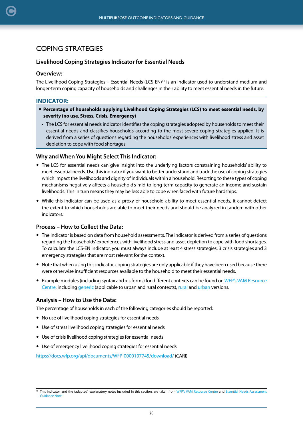## COPING STRATEGIES

#### **Livelihood Coping Strategies Indicator for Essential Needs**

#### **Overview:**

<span id="page-19-0"></span>[C](#page-2-0)

The Livelihood Coping Strategies – Essential Needs (LCS-EN)<sup>11</sup> is an indicator used to understand medium and longer-term coping capacity of households and challenges in their ability to meet essential needs in the future.

#### **INDICATOR:**

- **Percentage of households applying Livelihood Coping Strategies (LCS) to meet essential needs, by severity (no use, Stress, Crisis, Emergency)**
- The LCS for essential needs indicator identifies the coping strategies adopted by households to meet their essential needs and classifies households according to the most severe coping strategies applied. It is derived from a series of questions regarding the households' experiences with livelihood stress and asset depletion to cope with food shortages.

#### **Why and When You Might Select This Indicator:**

- The LCS for essential needs can give insight into the underlying factors constraining households' ability to meet essential needs. Use this indicator if you want to better understand and track the use of coping strategies which impact the livelihoods and dignity of individuals within a household. Resorting to these types of coping mechanisms negatively affects a household's mid to long-term capacity to generate an income and sustain livelihoods. This in turn means they may be less able to cope when faced with future hardships.
- While this indicator can be used as a proxy of household ability to meet essential needs, it cannot detect the extent to which households are able to meet their needs and should be analyzed in tandem with other indicators.

#### **Process – How to Collect the Data:**

- The indicator is based on data from household assessments. The indicator is derived from a series of questions regarding the households' experiences with livelihood stress and asset depletion to cope with food shortages. To calculate the LCS-EN indicator, you must always include at least 4 stress strategies, 3 crisis strategies and 3 emergency strategies that are most relevant for the context.
- Note that when using this indicator, coping strategies are only applicable if they have been used because there were otherwise insufficient resources available to the household to meet their essential needs.
- Example modules (including syntax and xls forms) for different contexts can be found on [WFP's VAM Resource](https://resources.vam.wfp.org/data-analysis/quantitative/essential-needs/livelihood-coping-strategies-essential-needs) [Centre](https://resources.vam.wfp.org/data-analysis/quantitative/essential-needs/livelihood-coping-strategies-essential-needs), including [generic](https://docs.wfp.org/api/documents/WFP-0000121340/download/) (applicable to urban and rural contexts), [rural](https://docs.wfp.org/api/documents/WFP-0000134249/download/) and [urban](https://docs.wfp.org/api/documents/WFP-0000134250/download/) versions.

#### **Analysis – How to Use the Data:**

The percentage of households in each of the following categories should be reported:

- No use of livelihood coping strategies for essential needs
- Use of stress livelihood coping strategies for essential needs
- Use of crisis livelihood coping strategies for essential needs
- Use of emergency livelihood coping strategies for essential needs

<https://docs.wfp.org/api/documents/WFP-0000107745/download/>(CARI)

<sup>&</sup>lt;sup>11</sup> This indicator, and the (adapted) explanatory notes included in this section, are taken from [WFP's VAM Resource Centre](https://resources.vam.wfp.org/data-analysis/quantitative/essential-needs/livelihood-coping-strategies-essential-needs) and [Essential Needs Assessment](https://docs.wfp.org/api/documents/WFP-0000074197/download/?_ga=2.162763768.599709074.1629986064-12876208.1617832239) [Guidance Note](https://docs.wfp.org/api/documents/WFP-0000074197/download/?_ga=2.162763768.599709074.1629986064-12876208.1617832239)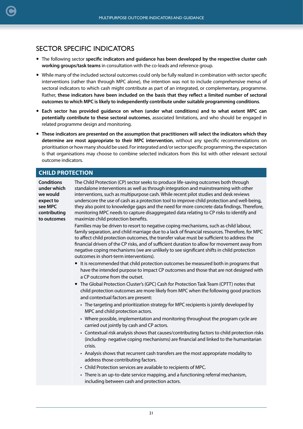## <span id="page-20-0"></span>SECTOR SPECIFIC INDICATORS

- The following sector **specific indicators and guidance has been developed by the respective cluster cash working groups/task teams** in consultation with the co-leads and reference group.
- While many of the included sectoral outcomes could only be fully realized in combination with sector specific interventions (rather than through MPC alone), the intention was not to include comprehensive menus of sectoral indicators to which cash might contribute as part of an integrated, or complementary, programme. Rather, **these indicators have been included on the basis that they reflect a limited number of sectoral outcomes to which MPC is likely to independently contribute under suitable programming conditions**.
- **Each sector has provided guidance on when (under what conditions) and to what extent MPC can potentially contribute to these sectoral outcomes**, associated limitations, and who should be engaged in related programme design and monitoring.
- **These indicators are presented on the assumption that practitioners will select the indicators which they determine are most appropriate to their MPC intervention**, without any specific recommendations on prioritisation or how many should be used. For integrated and/or sector specific programming, the expectation is that organisations may choose to combine selected indicators from this list with other relevant sectoral outcome indicators.

### **CHILD PROTECTION**

| The Child Protection (CP) sector seeks to produce life-saving outcomes both through<br>standalone interventions as well as through integration and mainstreaming with other<br>interventions, such as multipurpose cash. While recent pilot studies and desk reviews<br>underscore the use of cash as a protection tool to improve child protection and well-being,<br>they also point to knowledge gaps and the need for more concrete data findings. Therefore,<br>monitoring MPC needs to capture disaggregated data relating to CP risks to identify and<br>maximize child protection benefits. |
|-----------------------------------------------------------------------------------------------------------------------------------------------------------------------------------------------------------------------------------------------------------------------------------------------------------------------------------------------------------------------------------------------------------------------------------------------------------------------------------------------------------------------------------------------------------------------------------------------------|
| Families may be driven to resort to negative coping mechanisms, such as child labour,<br>family separation, and child marriage due to a lack of financial resources. Therefore, for MPC<br>to affect child protection outcomes, the transfer value must be sufficient to address the<br>financial drivers of the CP risks, and of sufficient duration to allow for movement away from<br>negative coping mechanisms (we are unlikely to see significant shifts in child protection<br>outcomes in short-term interventions).                                                                        |
| • It is recommended that child protection outcomes be measured both in programs that<br>have the intended purpose to impact CP outcomes and those that are not designed with<br>a CP outcome from the outset.<br>• The Global Protection Cluster's (GPC) Cash for Protection Task Team (CPTT) notes that<br>child protection outcomes are more likely from MPC when the following good practices<br>and contextual factors are present:                                                                                                                                                             |
| • The targeting and prioritization strategy for MPC recipients is jointly developed by<br>MPC and child protection actors.<br>• Where possible, implementation and monitoring throughout the program cycle are<br>carried out jointly by cash and CP actors.                                                                                                                                                                                                                                                                                                                                        |
| • Contextual risk analysis shows that causes/contributing factors to child protection risks<br>(including-negative coping mechanisms) are financial and linked to the humanitarian<br>crisis.                                                                                                                                                                                                                                                                                                                                                                                                       |
| • Analysis shows that recurrent cash transfers are the most appropriate modality to<br>address those contributing factors.<br>• Child Protection services are available to recipients of MPC.<br>• There is an up-to-date service mapping, and a functioning referral mechanism,<br>including between cash and protection actors.                                                                                                                                                                                                                                                                   |
|                                                                                                                                                                                                                                                                                                                                                                                                                                                                                                                                                                                                     |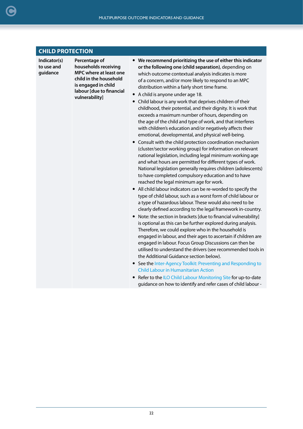#### **CHILD PROTECTION**

**Indicator(s) to use and guidance**

**Percentage of households receiving MPC where at least one child in the household is engaged in child labour [due to financial vulnerability]**

- **We recommend prioritizing the use of either this indicator or the following one (child separation)**, depending on which outcome contextual analysis indicates is more of a concern, and/or more likely to respond to an MPC distribution within a fairly short time frame.
- A child is anyone under age 18.
- Child labour is any work that deprives children of their childhood, their potential, and their dignity. It is work that exceeds a maximum number of hours, depending on the age of the child and type of work, and that interferes with children's education and/or negatively affects their emotional, developmental, and physical well-being.
- Consult with the child protection coordination mechanism (cluster/sector working group) for information on relevant national legislation, including legal minimum working age and what hours are permitted for different types of work. National legislation generally requires children (adolescents) to have completed compulsory education and to have reached the legal minimum age for work.
- All child labour indicators can be re-worded to specify the type of child labour, such as a worst form of child labour or a type of hazardous labour. These would also need to be clearly defined according to the legal framework in-country.
- Note: the section in brackets [due to financial vulnerability] is optional as this can be further explored during analysis. Therefore, we could explore who in the household is engaged in labour, and their ages to ascertain if children are engaged in labour. Focus Group Discussions can then be utilised to understand the drivers (see recommended tools in the Additional Guidance section below).
- **See the Inter-Agency Toolkit: Preventing and Responding to** [Child Labour in Humanitarian Action](https://alliancecpha.org/en/child-labour)
- Refer to the [ILO Child Labour Monitoring Site](https://www.ilo.org/ipec/Action/Childlabourmonitoring/lang--en/index.htm) for up-to-date guidance on how to identify and refer cases of child labour -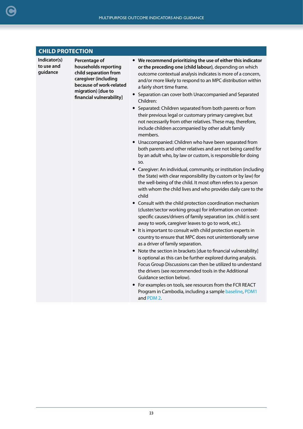| <b>CHILD PROTECTION</b>                |                                                                                                                                                                     |                                                                                                                                                                                                                                                                                                                                                                                                                                                                                                                                                                                                                                                                                                                                                                                                                                                                                                                                                                                                                                                                                                                                                                                                                                                                                                                                                                                                                                                                                                                                                                                                                                                                                                                                                                                                                                                                                                                                                                    |  |
|----------------------------------------|---------------------------------------------------------------------------------------------------------------------------------------------------------------------|--------------------------------------------------------------------------------------------------------------------------------------------------------------------------------------------------------------------------------------------------------------------------------------------------------------------------------------------------------------------------------------------------------------------------------------------------------------------------------------------------------------------------------------------------------------------------------------------------------------------------------------------------------------------------------------------------------------------------------------------------------------------------------------------------------------------------------------------------------------------------------------------------------------------------------------------------------------------------------------------------------------------------------------------------------------------------------------------------------------------------------------------------------------------------------------------------------------------------------------------------------------------------------------------------------------------------------------------------------------------------------------------------------------------------------------------------------------------------------------------------------------------------------------------------------------------------------------------------------------------------------------------------------------------------------------------------------------------------------------------------------------------------------------------------------------------------------------------------------------------------------------------------------------------------------------------------------------------|--|
| Indicator(s)<br>to use and<br>guidance | Percentage of<br>households reporting<br>child separation from<br>caregiver (including<br>because of work-related<br>migration) [due to<br>financial vulnerability] | • We recommend prioritizing the use of either this indicator<br>or the preceding one (child labour), depending on which<br>outcome contextual analysis indicates is more of a concern,<br>and/or more likely to respond to an MPC distribution within<br>a fairly short time frame.<br>• Separation can cover both Unaccompanied and Separated<br>Children:<br>Separated: Children separated from both parents or from<br>$\bullet$<br>their previous legal or customary primary caregiver, but<br>not necessarily from other relatives. These may, therefore,<br>include children accompanied by other adult family<br>members.<br>Unaccompanied: Children who have been separated from<br>both parents and other relatives and are not being cared for<br>by an adult who, by law or custom, is responsible for doing<br>SO.<br>• Caregiver: An individual, community, or institution (including<br>the State) with clear responsibility (by custom or by law) for<br>the well-being of the child. It most often refers to a person<br>with whom the child lives and who provides daily care to the<br>child<br>• Consult with the child protection coordination mechanism<br>(cluster/sector working group) for information on context-<br>specific causes/drivers of family separation (ex. child is sent<br>away to work, caregiver leaves to go to work, etc.).<br>• It is important to consult with child protection experts in<br>country to ensure that MPC does not unintentionally serve<br>as a driver of family separation.<br>• Note the section in brackets [due to financial vulnerability]<br>is optional as this can be further explored during analysis.<br>Focus Group Discussions can then be utilized to understand<br>the drivers (see recommended tools in the Additional<br>Guidance section below).<br>• For examples on tools, see resources from the FCR REACT<br>Program in Cambodia, including a sample baseline, PDM1<br>and PDM 2. |  |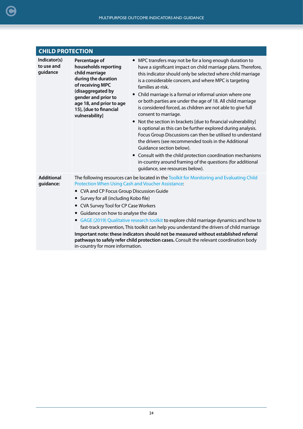| <b>CHILD PROTECTION</b>                |                                                                                                                                                                                                                        |                                                                                                                                                                                                                                                                                                                                                                                                                                                                                                                                                                                                                                                                                                                                                                                                                                                                                                                                                                  |  |
|----------------------------------------|------------------------------------------------------------------------------------------------------------------------------------------------------------------------------------------------------------------------|------------------------------------------------------------------------------------------------------------------------------------------------------------------------------------------------------------------------------------------------------------------------------------------------------------------------------------------------------------------------------------------------------------------------------------------------------------------------------------------------------------------------------------------------------------------------------------------------------------------------------------------------------------------------------------------------------------------------------------------------------------------------------------------------------------------------------------------------------------------------------------------------------------------------------------------------------------------|--|
| Indicator(s)<br>to use and<br>guidance | Percentage of<br>households reporting<br>child marriage<br>during the duration<br>of receiving MPC<br>(disaggregated by<br>gender and prior to<br>age 18, and prior to age<br>15), [due to financial<br>vulnerability] | • MPC transfers may not be for a long enough duration to<br>have a significant impact on child marriage plans. Therefore,<br>this indicator should only be selected where child marriage<br>is a considerable concern, and where MPC is targeting<br>families at-risk.<br>Child marriage is a formal or informal union where one<br>or both parties are under the age of 18. All child marriage<br>is considered forced, as children are not able to give full<br>consent to marriage.<br>Not the section in brackets [due to financial vulnerability]<br>$\bullet$<br>is optional as this can be further explored during analysis.<br>Focus Group Discussions can then be utilised to understand<br>the drivers (see recommended tools in the Additional<br>Guidance section below).<br>Consult with the child protection coordination mechanisms<br>$\bullet$<br>in-country around framing of the questions (for additional<br>guidance, see resources below). |  |
| <b>Additional</b><br>guidance:         | • CVA and CP Focus Group Discussion Guide<br>• Survey for all (including Kobo file)<br>• CVA Survey Tool for CP Case Workers<br>• Guidance on how to analyse the data                                                  | The following resources can be located in the Toolkit for Monitoring and Evaluating Child<br>Protection When Using Cash and Voucher Assistance:<br>• GAGE (2019) Qualitative research toolkit to explore child marriage dynamics and how to<br>fast-track prevention, This toolkit can help you understand the drivers of child marriage<br>Important note: these indicators should not be measured without established referral<br>pathways to safely refer child protection cases. Consult the relevant coordination body                                                                                                                                                                                                                                                                                                                                                                                                                                      |  |

in-country for more information.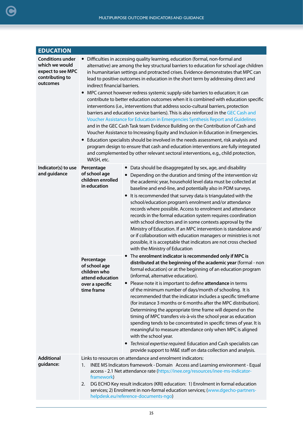<span id="page-24-0"></span>

| <b>EDUCATION</b>                                                                              |                                                                                                                                                                                                                                                                                                                                                                                                                                                                                                                                                                                                                                                                                                                                                                                                                                                                                                                                                                                                                                                                                                                                                                                                                                                                                                          |                                                                                                                                                                                                                                                                                                                                                                                                                                                                                                                                                                                                                                                                                                                                                                                                                                                                                                                                |  |
|-----------------------------------------------------------------------------------------------|----------------------------------------------------------------------------------------------------------------------------------------------------------------------------------------------------------------------------------------------------------------------------------------------------------------------------------------------------------------------------------------------------------------------------------------------------------------------------------------------------------------------------------------------------------------------------------------------------------------------------------------------------------------------------------------------------------------------------------------------------------------------------------------------------------------------------------------------------------------------------------------------------------------------------------------------------------------------------------------------------------------------------------------------------------------------------------------------------------------------------------------------------------------------------------------------------------------------------------------------------------------------------------------------------------|--------------------------------------------------------------------------------------------------------------------------------------------------------------------------------------------------------------------------------------------------------------------------------------------------------------------------------------------------------------------------------------------------------------------------------------------------------------------------------------------------------------------------------------------------------------------------------------------------------------------------------------------------------------------------------------------------------------------------------------------------------------------------------------------------------------------------------------------------------------------------------------------------------------------------------|--|
| <b>Conditions under</b><br>which we would<br>expect to see MPC<br>contributing to<br>outcomes | Difficulties in accessing quality learning, education (formal, non-formal and<br>$\bullet$<br>alternative) are among the key structural barriers to education for school age children<br>in humanitarian settings and protracted crises. Evidence demonstrates that MPC can<br>lead to positive outcomes in education in the short term by addressing direct and<br>indirect financial barriers.<br>MPC cannot however redress systemic supply-side barriers to education; it can<br>contribute to better education outcomes when it is combined with education specific<br>interventions (i.e., interventions that address socio-cultural barriers, protection<br>barriers and education service barriers). This is also reinforced in the GEC Cash and<br>Voucher Assistance for Education in Emergencies Synthesis Report and Guidelines<br>and in the GEC Cash Task team Evidence Building on the Contribution of Cash and<br>Voucher Assistance to Increasing Equity and Inclusion in Education in Emergencies.<br>• Education specialists should be involved in the needs assessment, risk analysis and<br>program design to ensure that cash and education interventions are fully integrated<br>and complemented by other relevant sectoral interventions, e.g., child protection,<br>WASH, etc. |                                                                                                                                                                                                                                                                                                                                                                                                                                                                                                                                                                                                                                                                                                                                                                                                                                                                                                                                |  |
| Indicator(s) to use<br>and guidance                                                           | Percentage<br>of school age<br>children enrolled<br>in education                                                                                                                                                                                                                                                                                                                                                                                                                                                                                                                                                                                                                                                                                                                                                                                                                                                                                                                                                                                                                                                                                                                                                                                                                                         | • Data should be disaggregated by sex, age, and disability<br>Depending on the duration and timing of the intervention viz<br>$\bullet$<br>the academic year, household level data must be collected at<br>baseline and end-line, and potentially also in PDM surveys.<br>It is recommended that survey data is triangulated with the<br>school/education program's enrolment and/or attendance<br>records where possible. Access to enrolment and attendance<br>records in the formal education system requires coordination<br>with school directors and in some contexts approval by the<br>Ministry of Education. If an MPC intervention is standalone and/<br>or if collaboration with education managers or ministries is not<br>possible, it is acceptable that indicators are not cross checked<br>with the Ministry of Education                                                                                      |  |
|                                                                                               | Percentage<br>of school age<br>children who<br>attend education<br>over a specific<br>time frame                                                                                                                                                                                                                                                                                                                                                                                                                                                                                                                                                                                                                                                                                                                                                                                                                                                                                                                                                                                                                                                                                                                                                                                                         | • The enrolment indicator is recommended only if MPC is<br>distributed at the beginning of the academic year (formal - non<br>formal education) or at the beginning of an education program<br>(informal, alternative education).<br>Please note it is important to define attendance in terms<br>of the minimum number of days/month of schooling. It is<br>recommended that the indicator includes a specific timeframe<br>(for instance 3 months or 6 months after the MPC distribution).<br>Determining the appropriate time frame will depend on the<br>timing of MPC transfers vis-à-vis the school year as education<br>spending tends to be concentrated in specific times of year. It is<br>meaningful to measure attendance only when MPC is aligned<br>with the school year.<br>• Technical expertise required: Education and Cash specialists can<br>provide support to M&E staff on data collection and analysis. |  |
| <b>Additional</b><br>guidance:                                                                | Links to resources on attendance and enrolment indicators:<br>INEE MS Indicators framework - Domain Access and Learning environment - Equal<br>1.<br>access - 2.1 Net attendance rate (https://inee.org/resources/inee-ms-indicator-<br>framework)<br>DG ECHO Key result indicators (KRI) education: 1) Enrolment in formal education<br>2.<br>services; 2) Enrolment in non-formal education services; (www.dgecho-partners-<br>helpdesk.eu/reference-documents-ngo)                                                                                                                                                                                                                                                                                                                                                                                                                                                                                                                                                                                                                                                                                                                                                                                                                                    |                                                                                                                                                                                                                                                                                                                                                                                                                                                                                                                                                                                                                                                                                                                                                                                                                                                                                                                                |  |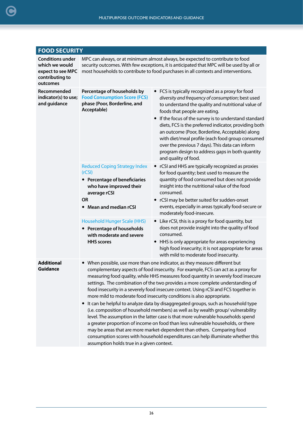<span id="page-25-0"></span>[C](#page-2-0)

| <b>FOOD SECURITY</b>                                                                          |                                                                                                                                                                                                                                                                                                                                                                                                                                                                                                                                                                                                                                                                                                                                                                                                                                                                                                                                                                                                                                                                                  |                                                                                                                                                                                                                                                                                                                                                                                                                                                                                                                                                     |  |
|-----------------------------------------------------------------------------------------------|----------------------------------------------------------------------------------------------------------------------------------------------------------------------------------------------------------------------------------------------------------------------------------------------------------------------------------------------------------------------------------------------------------------------------------------------------------------------------------------------------------------------------------------------------------------------------------------------------------------------------------------------------------------------------------------------------------------------------------------------------------------------------------------------------------------------------------------------------------------------------------------------------------------------------------------------------------------------------------------------------------------------------------------------------------------------------------|-----------------------------------------------------------------------------------------------------------------------------------------------------------------------------------------------------------------------------------------------------------------------------------------------------------------------------------------------------------------------------------------------------------------------------------------------------------------------------------------------------------------------------------------------------|--|
| <b>Conditions under</b><br>which we would<br>expect to see MPC<br>contributing to<br>outcomes | MPC can always, or at minimum almost always, be expected to contribute to food<br>security outcomes. With few exceptions, it is anticipated that MPC will be used by all or<br>most households to contribute to food purchases in all contexts and interventions.                                                                                                                                                                                                                                                                                                                                                                                                                                                                                                                                                                                                                                                                                                                                                                                                                |                                                                                                                                                                                                                                                                                                                                                                                                                                                                                                                                                     |  |
| Recommended<br>indicator(s) to use;<br>and guidance                                           | Percentage of households by<br><b>Food Consumption Score (FCS)</b><br>phase (Poor, Borderline, and<br>Acceptable)                                                                                                                                                                                                                                                                                                                                                                                                                                                                                                                                                                                                                                                                                                                                                                                                                                                                                                                                                                | • FCS is typically recognized as a proxy for food<br>diversity and frequency of consumption; best used<br>to understand the quality and nutritional value of<br>foods that people are eating.<br>If the focus of the survey is to understand standard<br>diets, FCS is the preferred indicator, providing both<br>an outcome (Poor, Borderline, Acceptable) along<br>with diet/meal profile (each food group consumed<br>over the previous 7 days). This data can inform<br>program design to address gaps in both quantity<br>and quality of food. |  |
|                                                                                               | <b>Reduced Coping Strategy Index</b><br>(rCSI)<br>• Percentage of beneficiaries<br>who have improved their<br>average rCSI<br><b>OR</b><br>Mean and median rCSI                                                                                                                                                                                                                                                                                                                                                                                                                                                                                                                                                                                                                                                                                                                                                                                                                                                                                                                  | • rCSI and HHS are typically recognized as proxies<br>for food quantity; best used to measure the<br>quantity of food consumed but does not provide<br>insight into the nutritional value of the food<br>consumed.<br>• rCSI may be better suited for sudden-onset<br>events, especially in areas typically food-secure or<br>moderately food-insecure.                                                                                                                                                                                             |  |
|                                                                                               | <b>Household Hunger Scale (HHS)</b><br>• Percentage of households<br>with moderate and severe<br><b>HHS</b> scores                                                                                                                                                                                                                                                                                                                                                                                                                                                                                                                                                                                                                                                                                                                                                                                                                                                                                                                                                               | • Like rCSI, this is a proxy for food quantity, but<br>does not provide insight into the quality of food<br>consumed.<br>HHS is only appropriate for areas experiencing<br>high food insecurity; it is not appropriate for areas<br>with mild to moderate food insecurity.                                                                                                                                                                                                                                                                          |  |
| <b>Additional</b><br><b>Guidance</b>                                                          | When possible, use more than one indicator, as they measure different but<br>complementary aspects of food insecurity. For example, FCS can act as a proxy for<br>measuring food quality, while HHS measures food quantity in severely food insecure<br>settings. The combination of the two provides a more complete understanding of<br>food insecurity in a severely food insecure context. Using rCSI and FCS together in<br>more mild to moderate food insecurity conditions is also appropriate.<br>It can be helpful to analyze data by disaggregated groups, such as household type<br>$\bullet$<br>(i.e. composition of household members) as well as by wealth group/vulnerability<br>level. The assumption in the latter case is that more vulnerable households spend<br>a greater proportion of income on food than less vulnerable households, or there<br>may be areas that are more market-dependent than others. Comparing food<br>consumption scores with household expenditures can help illuminate whether this<br>assumption holds true in a given context. |                                                                                                                                                                                                                                                                                                                                                                                                                                                                                                                                                     |  |

26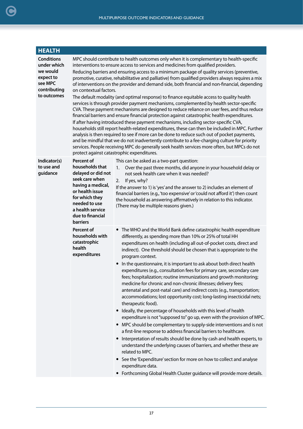<span id="page-26-0"></span>

| <b>HEALTH</b>                                                                                       |                                                                                                                                                                                                                                                                                                                                                                                                                                                                                                                                                                                                                                                                                                                                                                                                                                                                                                                                                                                                                                                                                                                                                                                                                                                                                                                                                                                                                                                |                                                                                                                                                                                                                                                                                                                                                                                                                                                                                                                                                                                                                                                                                                                                                                                                                                                                                                                                                                                                                                                                                                                                                                                                                                                                                                                                                                                                                                      |  |
|-----------------------------------------------------------------------------------------------------|------------------------------------------------------------------------------------------------------------------------------------------------------------------------------------------------------------------------------------------------------------------------------------------------------------------------------------------------------------------------------------------------------------------------------------------------------------------------------------------------------------------------------------------------------------------------------------------------------------------------------------------------------------------------------------------------------------------------------------------------------------------------------------------------------------------------------------------------------------------------------------------------------------------------------------------------------------------------------------------------------------------------------------------------------------------------------------------------------------------------------------------------------------------------------------------------------------------------------------------------------------------------------------------------------------------------------------------------------------------------------------------------------------------------------------------------|--------------------------------------------------------------------------------------------------------------------------------------------------------------------------------------------------------------------------------------------------------------------------------------------------------------------------------------------------------------------------------------------------------------------------------------------------------------------------------------------------------------------------------------------------------------------------------------------------------------------------------------------------------------------------------------------------------------------------------------------------------------------------------------------------------------------------------------------------------------------------------------------------------------------------------------------------------------------------------------------------------------------------------------------------------------------------------------------------------------------------------------------------------------------------------------------------------------------------------------------------------------------------------------------------------------------------------------------------------------------------------------------------------------------------------------|--|
| <b>Conditions</b><br>under which<br>we would<br>expect to<br>see MPC<br>contributing<br>to outcomes | MPC should contribute to health outcomes only when it is complementary to health-specific<br>interventions to ensure access to services and medicines from qualified providers.<br>Reducing barriers and ensuring access to a minimum package of quality services (preventive,<br>promotive, curative, rehabilitative and palliative) from qualified providers always requires a mix<br>of interventions on the provider and demand side, both financial and non-financial, depending<br>on contextual factors.<br>The default modality (and optimal response) to finance equitable access to quality health<br>services is through provider payment mechanisms, complemented by health sector-specific<br>CVA. These payment mechanisms are designed to reduce reliance on user fees, and thus reduce<br>financial barriers and ensure financial protection against catastrophic health expenditures.<br>If after having introduced these payment mechanisms, including sector-specific CVA,<br>households still report health-related expenditures, these can then be included in MPC. Further<br>analysis is then required to see if more can be done to reduce such out of pocket payments,<br>and be mindful that we do not inadvertently contribute to a fee-charging culture for priority<br>services. People receiving MPC do generally seek health services more often, but MPCs do not<br>protect against catastrophic expenditures. |                                                                                                                                                                                                                                                                                                                                                                                                                                                                                                                                                                                                                                                                                                                                                                                                                                                                                                                                                                                                                                                                                                                                                                                                                                                                                                                                                                                                                                      |  |
| Indicator(s)<br>to use and<br>guidance                                                              | Percent of<br>households that<br>delayed or did not<br>seek care when<br>having a medical,<br>or health issue<br>for which they<br>needed to use<br>a health service<br>due to financial<br><b>barriers</b>                                                                                                                                                                                                                                                                                                                                                                                                                                                                                                                                                                                                                                                                                                                                                                                                                                                                                                                                                                                                                                                                                                                                                                                                                                    | This can be asked as a two-part question:<br>Over the past three months, did anyone in your household delay or<br>1.<br>not seek health care when it was needed?<br>If yes, why?<br>2.<br>If the answer to 1) is 'yes' and the answer to 2) includes an element of<br>financial barriers (e.g., 'too expensive' or 'could not afford it') then count<br>the household as answering affirmatively in relation to this indicator.<br>(There may be multiple reasons given.)                                                                                                                                                                                                                                                                                                                                                                                                                                                                                                                                                                                                                                                                                                                                                                                                                                                                                                                                                            |  |
|                                                                                                     | Percent of<br>households with<br>catastrophic<br>health<br>expenditures                                                                                                                                                                                                                                                                                                                                                                                                                                                                                                                                                                                                                                                                                                                                                                                                                                                                                                                                                                                                                                                                                                                                                                                                                                                                                                                                                                        | • The WHO and the World Bank define catastrophic health expenditure<br>differently, as spending more than 10% or 25% of total HH<br>expenditures on health (including all out-of-pocket costs, direct and<br>indirect). One threshold should be chosen that is appropriate to the<br>program context.<br>In the questionnaire, it is important to ask about both direct health<br>expenditures (e.g., consultation fees for primary care, secondary care<br>fees; hospitalization; routine immunizations and growth monitoring;<br>medicine for chronic and non-chronic illnesses; delivery fees;<br>antenatal and post-natal care) and indirect costs (e.g., transportation;<br>accommodations; lost opportunity cost; long-lasting insecticidal nets;<br>therapeutic food).<br>Ideally, the percentage of households with this level of health<br>$\bullet$<br>expenditure is not "supposed to" go up, even with the provision of MPC.<br>• MPC should be complementary to supply-side interventions and is not<br>a first-line response to address financial barriers to healthcare.<br>Interpretation of results should be done by cash and health experts, to<br>understand the underlying causes of barriers, and whether these are<br>related to MPC.<br>See the 'Expenditure' section for more on how to collect and analyse<br>expenditure data.<br>• Forthcoming Global Health Cluster guidance will provide more details. |  |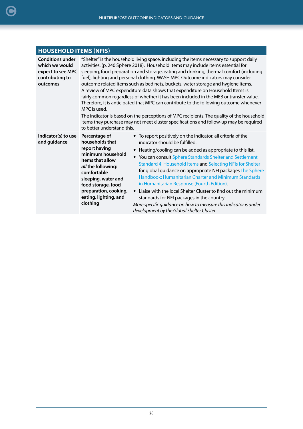<span id="page-27-0"></span>

| <b>HOUSEHOLD ITEMS (NFIS)</b>                                                                 |                                                                                                                                                                                                                                                                                                                                                                                                                                                                                                                                                                                                                                                                                                                                                                                                                                                                                                                                                          |                                                                                                                                                                                                                                                                                                                                                                                                                                                                                                                                                                                                                                                                                          |  |
|-----------------------------------------------------------------------------------------------|----------------------------------------------------------------------------------------------------------------------------------------------------------------------------------------------------------------------------------------------------------------------------------------------------------------------------------------------------------------------------------------------------------------------------------------------------------------------------------------------------------------------------------------------------------------------------------------------------------------------------------------------------------------------------------------------------------------------------------------------------------------------------------------------------------------------------------------------------------------------------------------------------------------------------------------------------------|------------------------------------------------------------------------------------------------------------------------------------------------------------------------------------------------------------------------------------------------------------------------------------------------------------------------------------------------------------------------------------------------------------------------------------------------------------------------------------------------------------------------------------------------------------------------------------------------------------------------------------------------------------------------------------------|--|
| <b>Conditions under</b><br>which we would<br>expect to see MPC<br>contributing to<br>outcomes | "Shelter" is the household living space, including the items necessary to support daily<br>activities. (p. 240 Sphere 2018). Household Items may include items essential for<br>sleeping, food preparation and storage, eating and drinking, thermal comfort (including<br>fuel), lighting and personal clothing. WASH MPC Outcome indicators may consider<br>outcome related items such as bed nets, buckets, water storage and hygiene items.<br>A review of MPC expenditure data shows that expenditure on Household Items is<br>fairly common regardless of whether it has been included in the MEB or transfer value.<br>Therefore, it is anticipated that MPC can contribute to the following outcome whenever<br>MPC is used.<br>The indicator is based on the perceptions of MPC recipients. The quality of the household<br>items they purchase may not meet cluster specifications and follow-up may be required<br>to better understand this. |                                                                                                                                                                                                                                                                                                                                                                                                                                                                                                                                                                                                                                                                                          |  |
| Indicator(s) to use<br>and guidance                                                           | Percentage of<br>households that<br>report having<br>minimum household<br>items that allow<br>all the following:<br>comfortable<br>sleeping, water and<br>food storage, food<br>preparation, cooking,<br>eating, lighting, and<br>clothing                                                                                                                                                                                                                                                                                                                                                                                                                                                                                                                                                                                                                                                                                                               | • To report positively on the indicator, all criteria of the<br>indicator should be fulfilled.<br>Heating/cooling can be added as appropriate to this list.<br>You can consult Sphere Standards Shelter and Settlement<br>Standard 4: Household Items and Selecting NFIs for Shelter<br>for global guidance on appropriate NFI packages The Sphere<br>Handbook: Humanitarian Charter and Minimum Standards<br>in Humanitarian Response (Fourth Edition).<br>Liaise with the local Shelter Cluster to find out the minimum<br>standards for NFI packages in the country<br>More specific guidance on how to measure this indicator is under<br>development by the Global Shelter Cluster. |  |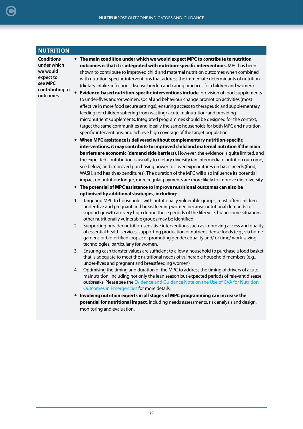<span id="page-28-0"></span>

| <b>NUTRITION</b>                                                                                    |                                                                                                                                                                                                                                                                                                                                                                                                                                                                                                                                                                                                                                                                                                                                                                                                                                                                                                                                                                                                                                                                                                                                                                                                                                                                                                                                                                                                                                                                                                                                                                                                                                                                                                                                                                                                                                                                                                                                                                                                                                                                                                                                                                                                                                                                                                                                                                                                                                                                                                                                                                                                                                                                                                                                                                                                                                                                                                                                                                                                                                                                                                                                                                                                                                                                                                                                                                                       |
|-----------------------------------------------------------------------------------------------------|---------------------------------------------------------------------------------------------------------------------------------------------------------------------------------------------------------------------------------------------------------------------------------------------------------------------------------------------------------------------------------------------------------------------------------------------------------------------------------------------------------------------------------------------------------------------------------------------------------------------------------------------------------------------------------------------------------------------------------------------------------------------------------------------------------------------------------------------------------------------------------------------------------------------------------------------------------------------------------------------------------------------------------------------------------------------------------------------------------------------------------------------------------------------------------------------------------------------------------------------------------------------------------------------------------------------------------------------------------------------------------------------------------------------------------------------------------------------------------------------------------------------------------------------------------------------------------------------------------------------------------------------------------------------------------------------------------------------------------------------------------------------------------------------------------------------------------------------------------------------------------------------------------------------------------------------------------------------------------------------------------------------------------------------------------------------------------------------------------------------------------------------------------------------------------------------------------------------------------------------------------------------------------------------------------------------------------------------------------------------------------------------------------------------------------------------------------------------------------------------------------------------------------------------------------------------------------------------------------------------------------------------------------------------------------------------------------------------------------------------------------------------------------------------------------------------------------------------------------------------------------------------------------------------------------------------------------------------------------------------------------------------------------------------------------------------------------------------------------------------------------------------------------------------------------------------------------------------------------------------------------------------------------------------------------------------------------------------------------------------------------------|
| <b>Conditions</b><br>under which<br>we would<br>expect to<br>see MPC<br>contributing to<br>outcomes | • The main condition under which we would expect MPC to contribute to nutrition<br>outcomes is that it is integrated with nutrition-specific interventions. MPC has been<br>shown to contribute to improved child and maternal nutrition outcomes when combined<br>with nutrition-specific interventions that address the immediate determinants of nutrition<br>(dietary intake, infections disease burden and caring practices for children and women).<br>Evidence-based nutrition-specific interventions include: provision of food supplements<br>to under-fives and/or women; social and behaviour change promotion activities (most<br>effective in more food secure settings); ensuring access to therapeutic and supplementary<br>feeding for children suffering from wasting/acute malnutrition; and providing<br>micronutrient supplements. Integrated programmes should be designed for the context;<br>target the same communities and ideally the same households for both MPC and nutrition-<br>specific interventions; and achieve high coverage of the target population.<br>When MPC assistance is delivered without complementary nutrition-specific<br>interventions, it may contribute to improved child and maternal nutrition if the main<br>barriers are economic (demand side barriers). However, the evidence is quite limited, and<br>the expected contribution is usually to dietary diversity (an intermediate nutrition outcome,<br>see below) and improved purchasing power to cover expenditures on basic needs (food,<br>WASH, and health expenditures). The duration of the MPC will also influence its potential<br>impact on nutrition: longer, more regular payments are more likely to improve diet diversity.<br>• The potential of MPC assistance to improve nutritional outcomes can also be<br>optimised by additional strategies, including:<br>Targeting MPC to households with nutritionally vulnerable groups, most often children<br>1.<br>under-five and pregnant and breastfeeding women because nutritional demands to<br>support growth are very high during those periods of the lifecycle, but in some situations<br>other nutritionally vulnerable groups may be identified.<br>Supporting broader nutrition-sensitive interventions such as improving access and quality<br>2.<br>of essential health services; supporting production of nutrient-dense foods (e.g., via home<br>gardens or biofortified crops); or promoting gender equality and/ or time/ work-saving<br>technologies, particularly for women.<br>Ensuring cash transfer values are sufficient to allow a household to purchase a food basket<br>3.<br>that is adequate to meet the nutritional needs of vulnerable household members (e.g.,<br>under-fives and pregnant and breastfeeding women)<br>Optimising the timing and duration of the MPC to address the timing of drivers of acute<br>4.<br>malnutrition, including not only the lean season but expected periods of relevant disease<br>outbreaks. Please see the Evidence and Guidance Note on the Use of CVA for Nutrition<br>Outcomes in Emergencies for more details.<br>Involving nutrition experts in all stages of MPC programming can increase the<br>$\bullet$<br>potential for nutritional impact, including needs assessments, risk analysis and design,<br>monitoring and evaluation. |
|                                                                                                     |                                                                                                                                                                                                                                                                                                                                                                                                                                                                                                                                                                                                                                                                                                                                                                                                                                                                                                                                                                                                                                                                                                                                                                                                                                                                                                                                                                                                                                                                                                                                                                                                                                                                                                                                                                                                                                                                                                                                                                                                                                                                                                                                                                                                                                                                                                                                                                                                                                                                                                                                                                                                                                                                                                                                                                                                                                                                                                                                                                                                                                                                                                                                                                                                                                                                                                                                                                                       |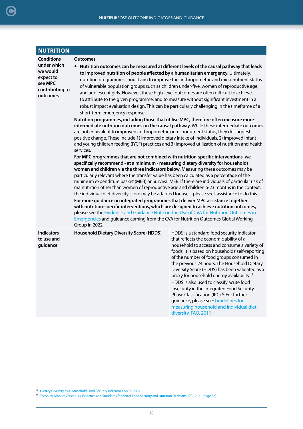| <b>NUTRITION</b>                                                                                    |                                                                                                                                                                                                                                                                                                                                                                                                                                                                                                                                                                                                                                                                                                                                                                                                                                                                                                                                                                                                                                                                                                                                                                                                                                                                                                                                                                                                                                                                                                                                                                                                                                                                                                                                                                                                                                                                                                                                                                                                                                                                                                                                                                                                                                                |                                                                                                                                                                                                                                                                                                                                                                                                                                                                                                                                                                                                                                                                  |  |
|-----------------------------------------------------------------------------------------------------|------------------------------------------------------------------------------------------------------------------------------------------------------------------------------------------------------------------------------------------------------------------------------------------------------------------------------------------------------------------------------------------------------------------------------------------------------------------------------------------------------------------------------------------------------------------------------------------------------------------------------------------------------------------------------------------------------------------------------------------------------------------------------------------------------------------------------------------------------------------------------------------------------------------------------------------------------------------------------------------------------------------------------------------------------------------------------------------------------------------------------------------------------------------------------------------------------------------------------------------------------------------------------------------------------------------------------------------------------------------------------------------------------------------------------------------------------------------------------------------------------------------------------------------------------------------------------------------------------------------------------------------------------------------------------------------------------------------------------------------------------------------------------------------------------------------------------------------------------------------------------------------------------------------------------------------------------------------------------------------------------------------------------------------------------------------------------------------------------------------------------------------------------------------------------------------------------------------------------------------------|------------------------------------------------------------------------------------------------------------------------------------------------------------------------------------------------------------------------------------------------------------------------------------------------------------------------------------------------------------------------------------------------------------------------------------------------------------------------------------------------------------------------------------------------------------------------------------------------------------------------------------------------------------------|--|
| <b>Conditions</b><br>under which<br>we would<br>expect to<br>see MPC<br>contributing to<br>outcomes | • Nutrition outcomes can be measured at different levels of the causal pathway that leads<br>to improved nutrition of people affected by a humanitarian emergency. Ultimately,<br>nutrition programmes should aim to improve the anthropometric and micronutrient status<br>of vulnerable population groups such as children under-five, women of reproductive age,<br>and adolescent girls. However, these high-level outcomes are often difficult to achieve,<br>to attribute to the given programme, and to measure without significant investment in a<br>robust impact evaluation design. This can be particularly challenging in the timeframe of a<br>short-term emergency response.<br>Nutrition programmes, including those that utilise MPC, therefore often measure more<br>intermediate nutrition outcomes on the causal pathway. While these intermediate outcomes<br>are not equivalent to improved anthropometric or micronutrient status, they do suggest<br>positive change. These include 1) improved dietary intake of individuals, 2) improved infant<br>and young children feeding (IYCF) practices and 3) improved utilization of nutrition and health<br>services.<br>For MPC programmes that are not combined with nutrition-specific interventions, we<br>specifically recommend - at a minimum - measuring dietary diversity for households,<br>women and children via the three indicators below. Measuring these outcomes may be<br>particularly relevant where the transfer value has been calculated as a percentage of the<br>minimum expenditure basket (MEB) or Survival MEB. If there are individuals of particular risk of<br>malnutrition other than women of reproductive age and children 6-23 months in the context,<br>the individual diet diversity score may be adapted for use - please seek assistance to do this.<br>For more guidance on integrated programmes that deliver MPC assistance together<br>with nutrition-specific interventions, which are designed to achieve nutrition outcomes,<br>please see the Evidence and Guidance Note on the Use of CVA for Nutrition Outcomes in<br>Emergencies and guidance coming from the CVA for Nutrition Outcomes Global Working<br>Group in 2022. |                                                                                                                                                                                                                                                                                                                                                                                                                                                                                                                                                                                                                                                                  |  |
| <b>Indicators</b><br>to use and<br>guidance                                                         | <b>Household Dietary Diversity Score (HDDS)</b>                                                                                                                                                                                                                                                                                                                                                                                                                                                                                                                                                                                                                                                                                                                                                                                                                                                                                                                                                                                                                                                                                                                                                                                                                                                                                                                                                                                                                                                                                                                                                                                                                                                                                                                                                                                                                                                                                                                                                                                                                                                                                                                                                                                                | HDDS is a standard food security indicator<br>that reflects the economic ability of a<br>household to access and consume a variety of<br>foods. It is based on households' self-reporting<br>of the number of food groups consumed in<br>the previous 24 hours. The Household Dietary<br>Diversity Score (HDDS) has been validated as a<br>proxy for household energy availability. <sup>12</sup><br>HDDS is also used to classify acute food<br>insecurity in the Integrated Food Security<br>Phase Classification (IPC). <sup>13</sup> For further<br>guidance, please see: Guidelines for<br>measuring household and individual diet<br>diversity, FAO, 2011. |  |

<sup>12</sup> Dietary Diversity as a Household Food Security Indicator, FANTA, 2002

<sup>13</sup> Technical Manual Version 3.1 Evidence and Standards for Better Food Security and Nutrition Decisions, IPC, 2021 (page 36)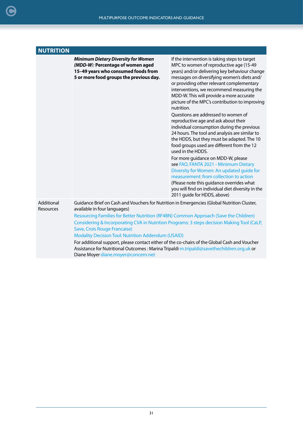|                         |                                                                                                                                                                   | MULTIPURPOSE OUTCOME INDICATORS AND GUIDANCE                                                                                                                                                                                                                                                                                                                                                                                                                                                                                                                                                                                                                                                                                                                                                                                                                                                                                                                           |  |  |
|-------------------------|-------------------------------------------------------------------------------------------------------------------------------------------------------------------|------------------------------------------------------------------------------------------------------------------------------------------------------------------------------------------------------------------------------------------------------------------------------------------------------------------------------------------------------------------------------------------------------------------------------------------------------------------------------------------------------------------------------------------------------------------------------------------------------------------------------------------------------------------------------------------------------------------------------------------------------------------------------------------------------------------------------------------------------------------------------------------------------------------------------------------------------------------------|--|--|
|                         |                                                                                                                                                                   |                                                                                                                                                                                                                                                                                                                                                                                                                                                                                                                                                                                                                                                                                                                                                                                                                                                                                                                                                                        |  |  |
| <b>NUTRITION</b>        | <b>Minimum Dietary Diversity for Women</b><br>(MDD-W): Percentage of women aged<br>15-49 years who consumed foods from<br>5 or more food groups the previous day. | If the intervention is taking steps to target<br>MPC to women of reproductive age (15-49<br>years) and/or delivering key behaviour change<br>messages on diversifying women's diets and/<br>or providing other relevant complementary<br>interventions, we recommend measuring the<br>MDD-W. This will provide a more accurate<br>picture of the MPC's contribution to improving<br>nutrition.<br>Ouestions are addressed to women of<br>reproductive age and ask about their<br>individual consumption during the previous<br>24 hours. The tool and analysis are similar to<br>the HDDS, but they must be adapted. The 10<br>food groups used are different from the 12<br>used in the HDDS.<br>For more guidance on MDD-W, please<br>see FAO, FANTA 2021 - Minimum Dietary<br>Diversity for Women: An updated guide for<br>measurement: from collection to action<br>(Please note this guidance overrides what<br>you will find on individual diet diversity in the |  |  |
| Additional<br>Resources | available in four languages)                                                                                                                                      | 2011 guide for HDDS, above)<br>Guidance Brief on Cash and Vouchers for Nutrition in Emergencies (Global Nutrition Cluster,                                                                                                                                                                                                                                                                                                                                                                                                                                                                                                                                                                                                                                                                                                                                                                                                                                             |  |  |

[Resourcing Families for Better Nutrition \(RF4BN\) Common Approach \(Save the Children\)](https://resourcecentre.savethechildren.net/library/resourcing-families-better-nutrition-common-approach)  [Considering & Incorporating CVA in Nutrition Programs: 3 steps decision Making Tool \(CaLP,](https://www.calpnetwork.org/publication/considering-incorporating-cva-into-nutrition-programming-a-3-%20step-programming-tool/)  [Save, Crois Rouge Francaise\)](https://www.calpnetwork.org/publication/considering-incorporating-cva-into-nutrition-programming-a-3-%20step-programming-tool/)

[Modality Decision Tool: Nutrition Addendum \(USAID\)](https://www.usaid.gov/sites/default/files/documents/Modality_Decision_Tool_Nutrition_Addendum.pdf)

For additional support, please contact either of the co-chairs of the Global Cash and Voucher Assistance for Nutritional Outcomes : Marina Tripaldi [m.tripaldi@savethechildren.org.uk](mailto:m.tripaldi@savethechildren.org.uk) or Diane Moyer [diane.moyer@concern.net](mailto:diane.moyer@concern.net)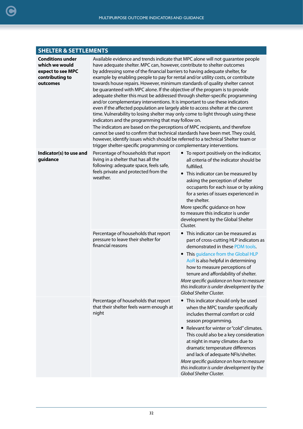## <span id="page-31-0"></span>**SHELTER & SETTLEMENTS**

| <b>Conditions under</b><br>which we would<br>expect to see MPC<br>contributing to<br>outcomes | Available evidence and trends indicate that MPC alone will not guarantee people<br>have adequate shelter. MPC can, however, contribute to shelter outcomes<br>by addressing some of the financial barriers to having adequate shelter, for<br>example by enabling people to pay for rental and/or utility costs, or contribute<br>towards house repairs. However, minimum standards of quality shelter cannot<br>be guaranteed with MPC alone. If the objective of the program is to provide<br>adequate shelter this must be addressed through shelter-specific programming<br>and/or complementary interventions. It is important to use these indicators<br>even if the affected population are largely able to access shelter at the current<br>time. Vulnerability to losing shelter may only come to light through using these<br>indicators and the programming that may follow on.<br>The indicators are based on the perceptions of MPC recipients, and therefore<br>cannot be used to confirm that technical standards have been met. They could,<br>however, identify issues which should be referred to a technical Shelter team or<br>trigger shelter-specific programming or complementary interventions. |                                                                                                                                                                                                                                                                                                                                                                                                                                                                 |  |  |
|-----------------------------------------------------------------------------------------------|-------------------------------------------------------------------------------------------------------------------------------------------------------------------------------------------------------------------------------------------------------------------------------------------------------------------------------------------------------------------------------------------------------------------------------------------------------------------------------------------------------------------------------------------------------------------------------------------------------------------------------------------------------------------------------------------------------------------------------------------------------------------------------------------------------------------------------------------------------------------------------------------------------------------------------------------------------------------------------------------------------------------------------------------------------------------------------------------------------------------------------------------------------------------------------------------------------------------------|-----------------------------------------------------------------------------------------------------------------------------------------------------------------------------------------------------------------------------------------------------------------------------------------------------------------------------------------------------------------------------------------------------------------------------------------------------------------|--|--|
| Indicator(s) to use and<br>guidance                                                           | Percentage of households that report<br>living in a shelter that has all the<br>following: adequate space, feels safe,<br>feels private and protected from the<br>weather.                                                                                                                                                                                                                                                                                                                                                                                                                                                                                                                                                                                                                                                                                                                                                                                                                                                                                                                                                                                                                                              | • To report positively on the indicator,<br>all criteria of the indicator should be<br>fulfilled.<br>• This indicator can be measured by<br>asking the perception of shelter<br>occupants for each issue or by asking<br>for a series of issues experienced in<br>the shelter.<br>More specific guidance on how<br>to measure this indicator is under<br>development by the Global Shelter<br>Cluster.                                                          |  |  |
|                                                                                               | Percentage of households that report<br>pressure to leave their shelter for<br>financial reasons                                                                                                                                                                                                                                                                                                                                                                                                                                                                                                                                                                                                                                                                                                                                                                                                                                                                                                                                                                                                                                                                                                                        | • This indicator can be measured as<br>part of cross-cutting HLP indicators as<br>demonstrated in these PDM tools.<br>This guidance from the Global HLP<br>$\bullet$<br>AoR is also helpful in determining<br>how to measure perceptions of<br>tenure and affordability of shelter.<br>More specific guidance on how to measure<br>this indicator is under development by the<br>Global Shelter Cluster.                                                        |  |  |
|                                                                                               | Percentage of households that report<br>that their shelter feels warm enough at<br>night                                                                                                                                                                                                                                                                                                                                                                                                                                                                                                                                                                                                                                                                                                                                                                                                                                                                                                                                                                                                                                                                                                                                | • This indicator should only be used<br>when the MPC transfer specifically<br>includes thermal comfort or cold<br>season programming.<br>• Relevant for winter or "cold" climates.<br>This could also be a key consideration<br>at night in many climates due to<br>dramatic temperature differences<br>and lack of adequate NFIs/shelter.<br>More specific guidance on how to measure<br>this indicator is under development by the<br>Global Shelter Cluster. |  |  |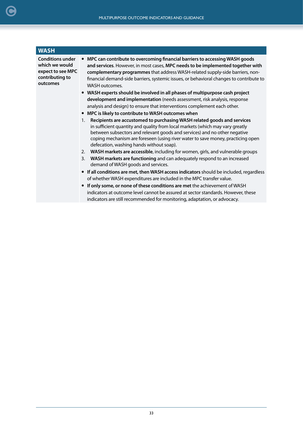<span id="page-32-0"></span>

| <b>WASH</b>                                                                                   |                                                                                                                                                                                                                                                                                                                                                                                                                                                                                                                                                                                                                                                                                                                                                                                                                                                                                                                                                                                                                                                                                                                                                                                                                                                                                                                                                                                                                                                                                                                                                                                                                                                                                  |
|-----------------------------------------------------------------------------------------------|----------------------------------------------------------------------------------------------------------------------------------------------------------------------------------------------------------------------------------------------------------------------------------------------------------------------------------------------------------------------------------------------------------------------------------------------------------------------------------------------------------------------------------------------------------------------------------------------------------------------------------------------------------------------------------------------------------------------------------------------------------------------------------------------------------------------------------------------------------------------------------------------------------------------------------------------------------------------------------------------------------------------------------------------------------------------------------------------------------------------------------------------------------------------------------------------------------------------------------------------------------------------------------------------------------------------------------------------------------------------------------------------------------------------------------------------------------------------------------------------------------------------------------------------------------------------------------------------------------------------------------------------------------------------------------|
| <b>Conditions under</b><br>which we would<br>expect to see MPC<br>contributing to<br>outcomes | MPC can contribute to overcoming financial barriers to accessing WASH goods<br>and services. However, in most cases, MPC needs to be implemented together with<br>complementary programmes that address WASH-related supply-side barriers, non-<br>financial demand-side barriers, systemic issues, or behavioral changes to contribute to<br><b>WASH outcomes.</b><br>• WASH experts should be involved in all phases of multipurpose cash project<br>development and implementation (needs assessment, risk analysis, response<br>analysis and design) to ensure that interventions complement each other.<br>MPC is likely to contribute to WASH outcomes when<br>Recipients are accustomed to purchasing WASH related goods and services<br>1.<br>in sufficient quantity and quality from local markets (which may vary greatly<br>between subsectors and relevant goods and services) and no other negative<br>coping mechanism are foreseen (using river water to save money, practicing open<br>defecation, washing hands without soap).<br>WASH markets are accessible, including for women, girls, and vulnerable groups<br>2.<br>WASH markets are functioning and can adequately respond to an increased<br>3.<br>demand of WASH goods and services.<br>• If all conditions are met, then WASH access indicators should be included, regardless<br>of whether WASH expenditures are included in the MPC transfer value.<br>If only some, or none of these conditions are met the achievement of WASH<br>indicators at outcome level cannot be assured at sector standards. However, these<br>indicators are still recommended for monitoring, adaptation, or advocacy. |
|                                                                                               |                                                                                                                                                                                                                                                                                                                                                                                                                                                                                                                                                                                                                                                                                                                                                                                                                                                                                                                                                                                                                                                                                                                                                                                                                                                                                                                                                                                                                                                                                                                                                                                                                                                                                  |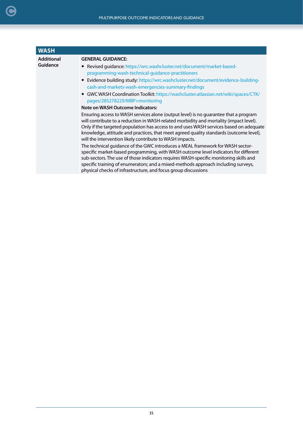| <b>WASH</b>       |                                                                                                                                                                                                                                                                                                                                                                                                                                |
|-------------------|--------------------------------------------------------------------------------------------------------------------------------------------------------------------------------------------------------------------------------------------------------------------------------------------------------------------------------------------------------------------------------------------------------------------------------|
| <b>Additional</b> | <b>GENERAL GUIDANCE:</b>                                                                                                                                                                                                                                                                                                                                                                                                       |
| Guidance          | • Revised quidance: https://wrc.washcluster.net/document/market-based-                                                                                                                                                                                                                                                                                                                                                         |
|                   | programming-wash-technical-guidance-practitioners                                                                                                                                                                                                                                                                                                                                                                              |
|                   | • Evidence building study: https://wrc.washcluster.net/document/evidence-building-<br>cash-and-markets-wash-emergencies-summary-findings                                                                                                                                                                                                                                                                                       |
|                   | • GWC WASH Coordination Toolkit: https://washcluster.atlassian.net/wiki/spaces/CTK/                                                                                                                                                                                                                                                                                                                                            |
|                   | pages/285278229/MBP+monitoring                                                                                                                                                                                                                                                                                                                                                                                                 |
|                   | <b>Note on WASH Outcome Indicators:</b>                                                                                                                                                                                                                                                                                                                                                                                        |
|                   | Ensuring access to WASH services alone (output level) is no guarantee that a program<br>will contribute to a reduction in WASH-related morbidity and mortality (impact level).<br>Only if the targeted population has access to and uses WASH services based on adequate<br>knowledge, attitude and practices, that meet agreed quality standards (outcome level),<br>will the intervention likely contribute to WASH impacts. |
|                   | The technical guidance of the GWC introduces a MEAL framework for WASH sector-<br>specific market-based programming, with WASH outcome level indicators for different<br>sub-sectors. The use of those indicators requires WASH-specific monitoring skills and<br>specific training of enumerators; and a mixed-methods approach including surveys,<br>physical checks of infrastructure, and focus group discussions          |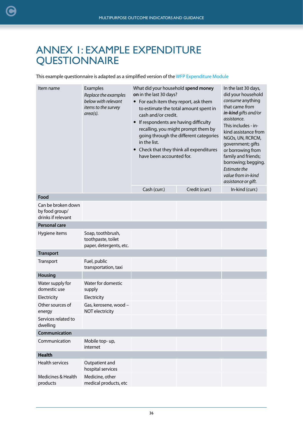## <span id="page-35-0"></span>ANNEX 1: EXAMPLE EXPENDITURE **QUESTIONNAIRE**

This example questionnaire is adapted as a simplified version of the [WFP Expenditure Module](https://resources.vam.wfp.org/TagView?tag=Questionnaires)

| Item name                                                  | Examples<br>Replace the examples<br>below with relevant<br>items to the survey<br>$area(s)$ . | What did your household spend money<br>on in the last 30 days?<br>• For each item they report, ask them<br>to estimate the total amount spent in<br>cash and/or credit.<br>If respondents are having difficulty<br>recalling, you might prompt them by<br>going through the different categories<br>in the list.<br>Check that they think all expenditures<br>have been accounted for. |                | In the last 30 days,<br>did your household<br>consume anything<br>that came from<br>in-kind gifts and/or<br>assistance.<br>This includes - in-<br>kind assistance from<br>NGOs, UN, RCRCM,<br>government; gifts<br>or borrowing from<br>family and friends;<br>borrowing; begging.<br>Estimate the<br>value from in-kind<br>assistance or gift. |
|------------------------------------------------------------|-----------------------------------------------------------------------------------------------|----------------------------------------------------------------------------------------------------------------------------------------------------------------------------------------------------------------------------------------------------------------------------------------------------------------------------------------------------------------------------------------|----------------|-------------------------------------------------------------------------------------------------------------------------------------------------------------------------------------------------------------------------------------------------------------------------------------------------------------------------------------------------|
|                                                            |                                                                                               | Cash (curr.)                                                                                                                                                                                                                                                                                                                                                                           | Credit (curr.) | In-kind (curr.)                                                                                                                                                                                                                                                                                                                                 |
| Food                                                       |                                                                                               |                                                                                                                                                                                                                                                                                                                                                                                        |                |                                                                                                                                                                                                                                                                                                                                                 |
| Can be broken down<br>by food group/<br>drinks if relevant |                                                                                               |                                                                                                                                                                                                                                                                                                                                                                                        |                |                                                                                                                                                                                                                                                                                                                                                 |
| <b>Personal care</b>                                       |                                                                                               |                                                                                                                                                                                                                                                                                                                                                                                        |                |                                                                                                                                                                                                                                                                                                                                                 |
| Hygiene items                                              | Soap, toothbrush,<br>toothpaste, toilet<br>paper, detergents, etc.                            |                                                                                                                                                                                                                                                                                                                                                                                        |                |                                                                                                                                                                                                                                                                                                                                                 |
| <b>Transport</b>                                           |                                                                                               |                                                                                                                                                                                                                                                                                                                                                                                        |                |                                                                                                                                                                                                                                                                                                                                                 |
| Transport                                                  | Fuel, public<br>transportation, taxi                                                          |                                                                                                                                                                                                                                                                                                                                                                                        |                |                                                                                                                                                                                                                                                                                                                                                 |
| <b>Housing</b>                                             |                                                                                               |                                                                                                                                                                                                                                                                                                                                                                                        |                |                                                                                                                                                                                                                                                                                                                                                 |
| Water supply for<br>domestic use                           | Water for domestic<br>supply                                                                  |                                                                                                                                                                                                                                                                                                                                                                                        |                |                                                                                                                                                                                                                                                                                                                                                 |
| Electricity                                                | Electricity                                                                                   |                                                                                                                                                                                                                                                                                                                                                                                        |                |                                                                                                                                                                                                                                                                                                                                                 |
| Other sources of<br>energy                                 | Gas, kerosene, wood -<br>NOT electricity                                                      |                                                                                                                                                                                                                                                                                                                                                                                        |                |                                                                                                                                                                                                                                                                                                                                                 |
| Services related to<br>dwelling                            |                                                                                               |                                                                                                                                                                                                                                                                                                                                                                                        |                |                                                                                                                                                                                                                                                                                                                                                 |
| Communication                                              |                                                                                               |                                                                                                                                                                                                                                                                                                                                                                                        |                |                                                                                                                                                                                                                                                                                                                                                 |
| Communication                                              | Mobile top-up,<br>internet                                                                    |                                                                                                                                                                                                                                                                                                                                                                                        |                |                                                                                                                                                                                                                                                                                                                                                 |
| <b>Health</b>                                              |                                                                                               |                                                                                                                                                                                                                                                                                                                                                                                        |                |                                                                                                                                                                                                                                                                                                                                                 |
| <b>Health services</b>                                     | Outpatient and<br>hospital services                                                           |                                                                                                                                                                                                                                                                                                                                                                                        |                |                                                                                                                                                                                                                                                                                                                                                 |
| Medicines & Health<br>products                             | Medicine, other<br>medical products, etc                                                      |                                                                                                                                                                                                                                                                                                                                                                                        |                |                                                                                                                                                                                                                                                                                                                                                 |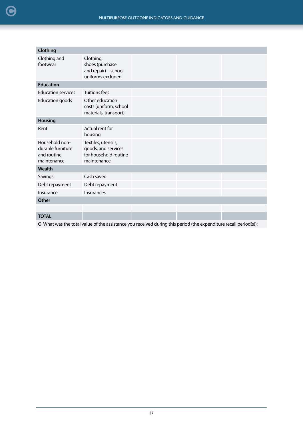| Clothing                                                          |                                                                                    |  |  |  |
|-------------------------------------------------------------------|------------------------------------------------------------------------------------|--|--|--|
| Clothing and<br>footwear                                          | Clothing,<br>shoes (purchase<br>and repair) - school<br>uniforms excluded          |  |  |  |
| <b>Education</b>                                                  |                                                                                    |  |  |  |
| <b>Education services</b>                                         | <b>Tuitions fees</b>                                                               |  |  |  |
| <b>Education goods</b>                                            | Other education<br>costs (uniform, school<br>materials, transport)                 |  |  |  |
| <b>Housing</b>                                                    |                                                                                    |  |  |  |
| Rent                                                              | Actual rent for<br>housing                                                         |  |  |  |
| Household non-<br>durable furniture<br>and routine<br>maintenance | Textiles, utensils,<br>goods, and services<br>for household routine<br>maintenance |  |  |  |
| Wealth                                                            |                                                                                    |  |  |  |
| Savings                                                           | Cash saved                                                                         |  |  |  |
| Debt repayment                                                    | Debt repayment                                                                     |  |  |  |
| Insurance                                                         | Insurances                                                                         |  |  |  |
| <b>Other</b>                                                      |                                                                                    |  |  |  |
|                                                                   |                                                                                    |  |  |  |
| <b>TOTAL</b>                                                      |                                                                                    |  |  |  |

Q: What was the total value of the assistance you received during this period (the expenditure recall period(s)):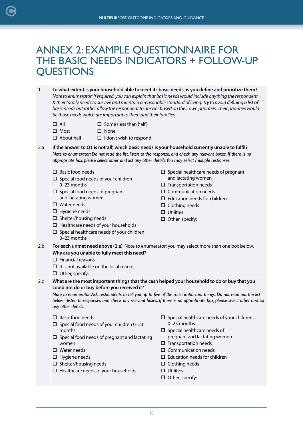## ANNEX 2: EXAMPLE QUESTIONNAIRE FOR THE BASIC NEEDS INDICATORS + FOLLOW-UP **QUESTIONS**

1 **To what extent is your household able to meet its basic needs as you define and prioritize them?** *Note to enumerator: If required, you can explain that basic needs would include anything the respondent & their family needs to survive and maintain a reasonable standard of living. Try to avoid defining a list of basic needs but rather allow the respondent to answer based on their own priorities. Their priorities would be those needs which are important to them and their families.*

- $\square$  All  $\square$  Some (less than half)
- □ Most  $\square$  None
- □ About half

<span id="page-37-0"></span>[C](#page-2-0)

2.a **If the answer to Q1 is not 'all', which basic needs is your household currently unable to fulfil?**  *Note to enumerator: Do not read the list, listen to the response, and check any relevant boxes. If there is no appropriate box, please select other and list any other details. You may select multiple responses.*

 $\Box$  I don't wish to respond

- $\Box$  Basic food needs
- $\square$  Special food needs of your children 0–23 months
- $\square$  Special food needs of pregnant and lactating women
- □ Water needs
- $\Box$  Hygiene needs
- $\square$  Shelter/housing needs
- $\Box$  Healthcare needs of your households
- $\square$  Special healthcare needs of your children 0–23 months
- $\square$  Special healthcare needs of pregnant and lactating women
- $\square$  Transportation needs
- $\square$  Communication needs
- $\square$  Education needs for children
- $\square$  Clothing needs
- $\square$  Utilities
- $\square$  Other, specify:
- 2.b **For each unmet need above (2.a)**: Note to enumerator: you may select more than one box below. **Why are you unable to fully meet this need?** 
	- $\square$  Financial reasons
	- $\Pi$  It is not available on the local market
	- $\Box$  Other, specify:
- 2.c **What are the most important things that the cash helped your household to do or buy that you could not do or buy before you received it?**

*Note to enumerator: Ask respondents to tell you up to five of the most important things. Do not read out the list below - listen to responses and check any relevant boxes. If there is no appropriate box, please select other and list any other details.*

- $\square$  Basic food needs
- $\square$  Special food needs of your children 0-23 months
- $\square$  Special food needs of pregnant and lactating women
- □ Water needs
- $\Box$  Hygiene needs
- $\square$  Shelter/housing needs
- $\Box$  Healthcare needs of your households
- $\square$  Special healthcare needs of your children 0–23 months
- $\square$  Special healthcare needs of pregnant and lactating women
- $\square$  Transportation needs
- $\square$  Communication needs
- $\Box$  Education needs for children
- $\square$  Clothing needs
- $\square$  Utilities
- $\Box$  Other, specify: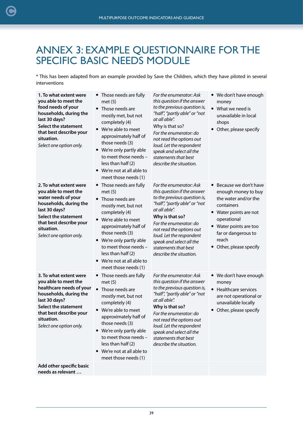## <span id="page-38-0"></span>ANNEX 3: EXAMPLE QUESTIONNAIRE FOR THE SPECIFIC BASIC NEEDS MODULE

\* This has been adapted from an example provided by Save the Children, which they have piloted in several interventions

| 1. To what extent were<br>you able to meet the<br>food needs of your<br>households, during the<br>last 30 days?<br><b>Select the statement</b><br>that best describe your<br>situation.<br>Select one option only.       | • Those needs are fully<br>met(5)<br>Those needs are<br>mostly met, but not<br>completely (4)<br>• We're able to meet<br>approximately half of<br>those needs (3)<br>We're only partly able<br>to meet those needs -<br>less than half (2)<br>We're not at all able to<br>meet those needs (1)              | For the enumerator: Ask<br>this question if the answer<br>to the previous question is,<br>"half", "partly able" or "not<br>at all able".<br>Why is that so?<br>For the enumerator: do<br>not read the options out<br>loud. Let the respondent<br>speak and select all the<br>statements that best<br>describe the situation. | • We don't have enough<br>money<br>$\bullet$<br>What we need is<br>unavailable in local<br>shops<br>Other, please specify                                                                                                                |
|--------------------------------------------------------------------------------------------------------------------------------------------------------------------------------------------------------------------------|-------------------------------------------------------------------------------------------------------------------------------------------------------------------------------------------------------------------------------------------------------------------------------------------------------------|------------------------------------------------------------------------------------------------------------------------------------------------------------------------------------------------------------------------------------------------------------------------------------------------------------------------------|------------------------------------------------------------------------------------------------------------------------------------------------------------------------------------------------------------------------------------------|
| 2. To what extent were<br>you able to meet the<br>water needs of your<br>households, during the<br>last 30 days?<br><b>Select the statement</b><br>that best describe your<br>situation.<br>Select one option only.      | • Those needs are fully<br>met(5)<br>Those needs are<br>mostly met, but not<br>completely (4)<br>We're able to meet<br>$\bullet$<br>approximately half of<br>those needs (3)<br>We're only partly able<br>to meet those needs -<br>less than half (2)<br>• We're not at all able to<br>meet those needs (1) | For the enumerator: Ask<br>this question if the answer<br>to the previous question is,<br>"half", "partly able" or "not<br>at all able".<br>Why is that so?<br>For the enumerator: do<br>not read the options out<br>loud. Let the respondent<br>speak and select all the<br>statements that best<br>describe the situation. | Because we don't have<br>$\bullet$<br>enough money to buy<br>the water and/or the<br>containers<br>• Water points are not<br>operational<br>Water points are too<br>$\bullet$<br>far or dangerous to<br>reach<br>• Other, please specify |
| 3. To what extent were<br>you able to meet the<br>healthcare needs of your<br>households, during the<br>last 30 days?<br><b>Select the statement</b><br>that best describe your<br>situation.<br>Select one option only. | • Those needs are fully<br>met(5)<br>Those needs are<br>$\bullet$<br>mostly met, but not<br>completely (4)<br>• We're able to meet<br>approximately half of<br>those needs (3)<br>We're only partly able<br>to meet those needs -<br>less than half (2)<br>We're not at all able to<br>meet those needs (1) | For the enumerator: Ask<br>this question if the answer<br>to the previous question is,<br>"half", "partly able" or "not<br>at all able".<br>Why is that so?<br>For the enumerator: do<br>not read the options out<br>loud. Let the respondent<br>speak and select all the<br>statements that best<br>describe the situation. | • We don't have enough<br>money<br>Healthcare services<br>are not operational or<br>unavailable locally<br>Other, please specify<br>$\bullet$                                                                                            |
| Add other specific basic<br>needs as relevant                                                                                                                                                                            |                                                                                                                                                                                                                                                                                                             |                                                                                                                                                                                                                                                                                                                              |                                                                                                                                                                                                                                          |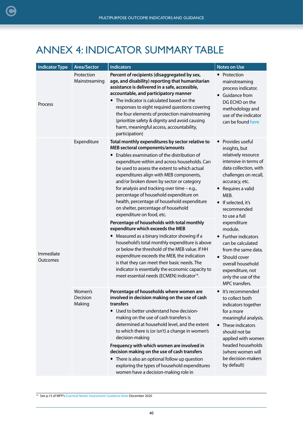## <span id="page-39-0"></span>ANNEX 4: INDICATOR SUMMARY TABLE

| <b>Indicator Type</b> | <b>Area/Sector</b>            | <b>Indicators</b>                                                                                                                                                                                                                                                                                                                                                                                                                                                                                                                                                                                                                                                                                                                                                                                                                                                                                                                                                                                | <b>Notes on Use</b>                                                                                                                                                                                                                                                                                                                                                                                                                                    |
|-----------------------|-------------------------------|--------------------------------------------------------------------------------------------------------------------------------------------------------------------------------------------------------------------------------------------------------------------------------------------------------------------------------------------------------------------------------------------------------------------------------------------------------------------------------------------------------------------------------------------------------------------------------------------------------------------------------------------------------------------------------------------------------------------------------------------------------------------------------------------------------------------------------------------------------------------------------------------------------------------------------------------------------------------------------------------------|--------------------------------------------------------------------------------------------------------------------------------------------------------------------------------------------------------------------------------------------------------------------------------------------------------------------------------------------------------------------------------------------------------------------------------------------------------|
| Process               | Protection<br>Mainstreaming   | Percent of recipients (disaggregated by sex,<br>age, and disability) reporting that humanitarian<br>assistance is delivered in a safe, accessible,<br>accountable, and participatory manner<br>• The indicator is calculated based on the<br>responses to eight required questions covering<br>the four elements of protection mainstreaming<br>(prioritize safety & dignity and avoid causing<br>harm, meaningful access, accountability,<br>participation)                                                                                                                                                                                                                                                                                                                                                                                                                                                                                                                                     | Protection<br>mainstreaming<br>process indicator.<br>Guidance from<br>DG ECHO on the<br>methodology and<br>use of the indicator<br>can be found here                                                                                                                                                                                                                                                                                                   |
| Immediate<br>Outcomes | Expenditure                   | Total monthly expenditures by sector relative to<br>MEB sectoral components/amounts<br>• Enables examination of the distribution of<br>expenditure within and across households. Can<br>be used to assess the extent to which actual<br>expenditures align with MEB components,<br>and/or broken down by sector or category<br>for analysis and tracking over time $-$ e.g.,<br>percentage of household expenditure on<br>health, percentage of household expenditure<br>on shelter, percentage of household<br>expenditure on food, etc.<br>Percentage of households with total monthly<br>expenditure which exceeds the MEB<br>• Measured as a binary indicator showing if a<br>household's total monthly expenditure is above<br>or below the threshold of the MEB value. If HH<br>expenditure exceeds the MEB, the indication<br>is that they can meet their basic needs. The<br>indicator is essentially the economic capacity to<br>meet essential needs (ECMEN) indicator <sup>14</sup> . | Provides useful<br>insights, but<br>relatively resource<br>intensive in terms of<br>data collection, with<br>challenges on recall,<br>accuracy, etc.<br>• Requires a valid<br>MEB.<br>• If selected, it's<br>recommended<br>to use a full<br>expenditure<br>module.<br>Further indicators<br>$\bullet$<br>can be calculated<br>from the same data.<br>• Should cover<br>overall household<br>expenditure, not<br>only the use of the<br>MPC transfers. |
|                       | Women's<br>Decision<br>Making | Percentage of households where women are<br>involved in decision making on the use of cash<br>transfers<br>• Used to better understand how decision-<br>making on the use of cash transfers is<br>determined at household level, and the extent<br>to which there is (or isn't) a change in women's<br>decision-making<br>Frequency with which women are involved in<br>decision making on the use of cash transfers<br>• There is also an optional follow up question<br>exploring the types of household expenditures<br>women have a decision-making role in                                                                                                                                                                                                                                                                                                                                                                                                                                  | It's recommended<br>to collect both<br>indicators together<br>for a more<br>meaningful analysis.<br>• These indicators<br>should not be<br>applied with women<br>headed households<br>(where women will<br>be decision-makers<br>by default)                                                                                                                                                                                                           |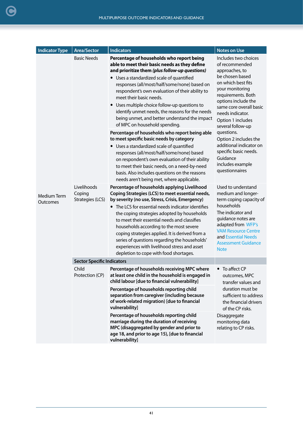| <b>Indicator Type</b>   | <b>Area/Sector</b>                                              | <b>Indicators</b>                                                                                                                                                                                                                                                                                                                                                                                                                                                                                                                                                                                                                                                                                                                                                                                                                                                                                                                                                                                                                                                                                                 | <b>Notes on Use</b>                                                                                                                                                                                                                                                                                                                                                                                                                                                                          |
|-------------------------|-----------------------------------------------------------------|-------------------------------------------------------------------------------------------------------------------------------------------------------------------------------------------------------------------------------------------------------------------------------------------------------------------------------------------------------------------------------------------------------------------------------------------------------------------------------------------------------------------------------------------------------------------------------------------------------------------------------------------------------------------------------------------------------------------------------------------------------------------------------------------------------------------------------------------------------------------------------------------------------------------------------------------------------------------------------------------------------------------------------------------------------------------------------------------------------------------|----------------------------------------------------------------------------------------------------------------------------------------------------------------------------------------------------------------------------------------------------------------------------------------------------------------------------------------------------------------------------------------------------------------------------------------------------------------------------------------------|
| Medium Term<br>Outcomes | <b>Basic Needs</b><br>Livelihoods<br>Coping<br>Strategies (LCS) | Percentage of households who report being<br>able to meet their basic needs as they define<br>and prioritize them (plus follow-up questions)<br>• Uses a standardized scale of quantified<br>responses (all/most/half/some/none) based on<br>respondent's own evaluation of their ability to<br>meet their basic needs.<br>Uses multiple choice follow-up questions to<br>identify unmet needs, the reasons for the needs<br>being unmet, and better understand the impact<br>of MPC on household spending.<br>Percentage of households who report being able<br>to meet specific basic needs by category<br>• Uses a standardized scale of quantified<br>responses (all/most/half/some/none) based<br>on respondent's own evaluation of their ability<br>to meet their basic needs, on a need-by-need<br>basis. Also includes questions on the reasons<br>needs aren't being met, where applicable.<br>Percentage of households applying Livelihood<br>Coping Strategies (LCS) to meet essential needs,<br>by severity (no use, Stress, Crisis, Emergency)<br>• The LCS for essential needs indicator identifies | Includes two choices<br>of recommended<br>approaches, to<br>be chosen based<br>on which best fits<br>your monitoring<br>requirements. Both<br>options include the<br>same core overall basic<br>needs indicator.<br>Option 1 includes<br>several follow-up<br>questions.<br>Option 2 includes the<br>additional indicator on<br>specific basic needs.<br>Guidance<br>includes example<br>questionnaires<br>Used to understand<br>medium and longer-<br>term coping capacity of<br>households |
|                         |                                                                 | the coping strategies adopted by households<br>to meet their essential needs and classifies<br>households according to the most severe<br>coping strategies applied. It is derived from a<br>series of questions regarding the households'<br>experiences with livelihood stress and asset<br>depletion to cope with food shortages.                                                                                                                                                                                                                                                                                                                                                                                                                                                                                                                                                                                                                                                                                                                                                                              | The indicator and<br>guidance notes are<br>adapted from WFP's<br><b>VAM Resource Centre</b><br>and Essential Needs<br><b>Assessment Guidance</b><br><b>Note</b>                                                                                                                                                                                                                                                                                                                              |
|                         | <b>Sector Specific Indicators</b>                               |                                                                                                                                                                                                                                                                                                                                                                                                                                                                                                                                                                                                                                                                                                                                                                                                                                                                                                                                                                                                                                                                                                                   |                                                                                                                                                                                                                                                                                                                                                                                                                                                                                              |
|                         | Child<br>Protection (CP)                                        | Percentage of households receiving MPC where<br>at least one child in the household is engaged in<br>child labour [due to financial vulnerability]                                                                                                                                                                                                                                                                                                                                                                                                                                                                                                                                                                                                                                                                                                                                                                                                                                                                                                                                                                | • To affect CP<br>outcomes, MPC<br>transfer values and                                                                                                                                                                                                                                                                                                                                                                                                                                       |
|                         |                                                                 | Percentage of households reporting child<br>separation from caregiver (including because<br>of work-related migration) [due to financial<br>vulnerability]                                                                                                                                                                                                                                                                                                                                                                                                                                                                                                                                                                                                                                                                                                                                                                                                                                                                                                                                                        | duration must be<br>sufficient to address<br>the financial drivers<br>of the CP risks.                                                                                                                                                                                                                                                                                                                                                                                                       |
|                         |                                                                 | Percentage of households reporting child<br>marriage during the duration of receiving<br>MPC (disaggregated by gender and prior to<br>age 18, and prior to age 15), [due to financial<br>vulnerability]                                                                                                                                                                                                                                                                                                                                                                                                                                                                                                                                                                                                                                                                                                                                                                                                                                                                                                           | Disaggregate<br>monitoring data<br>relating to CP risks.                                                                                                                                                                                                                                                                                                                                                                                                                                     |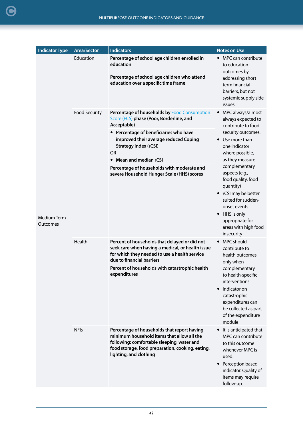| <b>Indicator Type</b>          | <b>Area/Sector</b>   | <b>Indicators</b>                                                                                                                                                                                                        | <b>Notes on Use</b>                                                                                                                                                                                                   |
|--------------------------------|----------------------|--------------------------------------------------------------------------------------------------------------------------------------------------------------------------------------------------------------------------|-----------------------------------------------------------------------------------------------------------------------------------------------------------------------------------------------------------------------|
|                                | Education            | Percentage of school age children enrolled in<br>education<br>Percentage of school age children who attend<br>education over a specific time frame                                                                       | • MPC can contribute<br>to education<br>outcomes by<br>addressing short<br>term financial<br>barriers, but not<br>systemic supply side<br>issues.                                                                     |
|                                | <b>Food Security</b> | Percentage of households by Food Consumption<br>Score (FCS) phase (Poor, Borderline, and<br>Acceptable)<br>Percentage of beneficiaries who have<br>improved their average reduced Coping<br><b>Strategy Index (rCSI)</b> | MPC always/almost<br>$\bullet$<br>always expected to<br>contribute to food<br>security outcomes.<br>• Use more than<br>one indicator                                                                                  |
|                                |                      | <b>OR</b><br>• Mean and median rCSI                                                                                                                                                                                      | where possible,<br>as they measure                                                                                                                                                                                    |
| <b>Medium Term</b><br>Outcomes |                      | Percentage of households with moderate and<br>severe Household Hunger Scale (HHS) scores                                                                                                                                 | complementary<br>aspects (e.g.,<br>food quality, food<br>quantity)<br>• rCSI may be better<br>suited for sudden-<br>onset events<br>HHS is only<br>$\bullet$<br>appropriate for<br>areas with high food<br>insecurity |
|                                | Health               | Percent of households that delayed or did not<br>seek care when having a medical, or health issue<br>for which they needed to use a health service<br>due to financial barriers                                          | <b>MPC</b> should<br>contribute to<br>health outcomes<br>only when                                                                                                                                                    |
|                                |                      | Percent of households with catastrophic health<br>expenditures                                                                                                                                                           | complementary<br>to health-specific<br>interventions<br>Indicator on<br>$\bullet$<br>catastrophic<br>expenditures can<br>be collected as part<br>of the expenditure<br>module                                         |
|                                | <b>NFIs</b>          | Percentage of households that report having<br>minimum household items that allow all the<br>following: comfortable sleeping, water and<br>food storage, food preparation, cooking, eating,<br>lighting, and clothing    | • It is anticipated that<br>MPC can contribute<br>to this outcome<br>whenever MPC is<br>used.<br>Perception based<br>$\bullet$<br>indicator. Quality of<br>items may require<br>follow-up.                            |